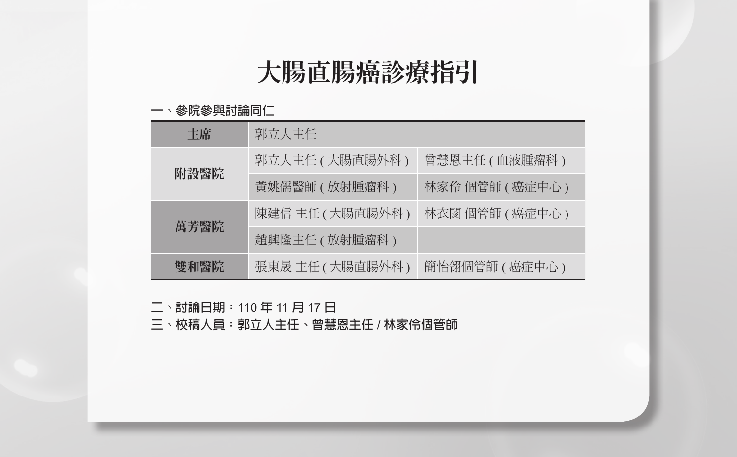# 大腸直腸癌診療指引

#### **一、參院參與討論同仁**

| 主席   | 郭立人主任             |                 |  |  |  |
|------|-------------------|-----------------|--|--|--|
| 附設醫院 | 郭立人主任 ( 大腸直腸外科 )  | 曾慧恩主任 ( 血液腫瘤科 ) |  |  |  |
|      | 黃姚儒醫師 (放射腫瘤科)     | 林家伶 個管師 (癌症中心)  |  |  |  |
| 萬芳醫院 | 陳建信 主任 ( 大腸直腸外科 ) | 林衣閡 個管師 (癌症中心)  |  |  |  |
|      | 趙興隆主任 (放射腫瘤科)     |                 |  |  |  |
| 雙和醫院 | 張東晟 主任 ( 大腸直腸外科 ) | 簡怡翎個管師 (癌症中心)   |  |  |  |

**二、討論日期:**110 **年** 11 **月** 17 **日**

**三、校稿人員:郭立人主任、曾慧恩主任** / **林家伶個管師**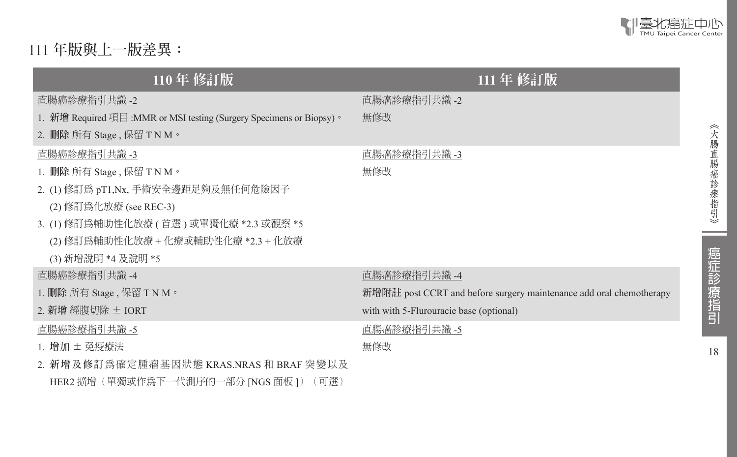

111 **年版與上一版差異:**

| 110年 修訂版                                                              | 111年 修訂版                                                            |
|-----------------------------------------------------------------------|---------------------------------------------------------------------|
| 直腸癌診療指引共識 -2                                                          | 直腸癌診療指引共識 -2                                                        |
| 1. 新增 Required 項目 :MMR or MSI testing (Surgery Specimens or Biopsy) 。 | 無修改                                                                 |
| 2. 删除 所有 Stage , 保留 T N M。                                            |                                                                     |
| 直腸癌診療指引共識 -3                                                          | 直腸癌診療指引共識 -3                                                        |
| 1. 刪除 所有 Stage , 保留 T N M。                                            | 無修改                                                                 |
| 2. (1) 修訂爲 pT1,Nx, 手術安全邊距足夠及無任何危險因子                                   |                                                                     |
| (2) 修訂爲化放療 (see REC-3)                                                |                                                                     |
| 3. (1) 修訂爲輔助性化放療 ( 首選 ) 或單獨化療 *2.3 或觀察 *5                             |                                                                     |
| (2) 修訂爲輔助性化放療 + 化療或輔助性化療 *2.3 + 化放療                                   |                                                                     |
| (3) 新增說明 *4 及說明 *5                                                    |                                                                     |
| 直腸癌診療指引共識 -4                                                          | 直腸癌診療指引共識 -4                                                        |
| 1. 删除 所有 Stage , 保留 T N M。                                            | 新增附註 post CCRT and before surgery maintenance add oral chemotherapy |
| 2. 新增 經腹切除 ± IORT                                                     | with with 5-Flurouracie base (optional)                             |
| 直腸癌診療指引共識 -5                                                          | 直腸癌診療指引共識 -5                                                        |
| 1. 增加 ± 免疫療法                                                          | 無修改                                                                 |
| 2. 新增及修訂為確定腫瘤基因狀態 KRAS.NRAS 和 BRAF 突變以及                               |                                                                     |
| HER2 擴增(單獨或作爲下一代測序的一部分 [NGS 面板 ])(可選)                                 |                                                                     |

ـ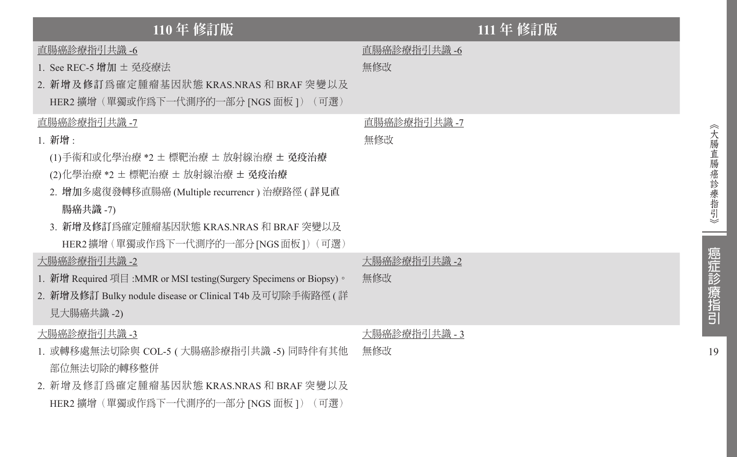| 110年 修訂版                                                                                                                                                                                                                                                  |                      | 111 年 修訂版 |
|-----------------------------------------------------------------------------------------------------------------------------------------------------------------------------------------------------------------------------------------------------------|----------------------|-----------|
| 直腸癌診療指引共識 -6<br>1. See REC-5 增加 ± 孕疫療法<br>2. 新增及修訂為確定腫瘤基因狀態 KRAS.NRAS 和 BRAF 突變以及<br>HER2 擴增(單獨或作爲下一代測序的一部分 [NGS 面板 ])(可選)                                                                                                                                | 直腸癌診療指引共識 -6<br>無修改  |           |
| 直腸癌診療指引共識 -7<br>1. 新增:<br>(1)手術和或化學治療 *2 ± 標靶治療 ± 放射線治療 ± 免疫治療<br>(2)化學治療 *2 ± 標靶治療 ± 放射線治療 ± 免疫治療<br>2. 增加多處復發轉移直腸癌 (Multiple recurrencr ) 治療路徑 ( 詳見直<br>腸癌共識 -7)<br>3. 新增及修訂爲確定腫瘤基因狀態 KRAS.NRAS 和 BRAF 突變以及<br>HER2 擴增 (單獨或作爲下一代測序的一部分 [NGS 面板 ]) (可選 ) | 直腸癌診療指引共識 -7<br>無修改  |           |
| 大腸癌診療指引共識 -2<br>1. 新增 Required 項目 :MMR or MSI testing(Surgery Specimens or Biopsy) 。<br>2. 新增及修訂 Bulky nodule disease or Clinical T4b 及可切除手術路徑 ( 詳<br>見大腸癌共識 -2)                                                                                          | 大腸癌診療指引共識 -2<br>無修改  |           |
| 大腸癌診療指引共識 -3<br>1. 或轉移處無法切除與 COL-5 ( 大腸癌診療指引共識 -5) 同時伴有其他<br>部位無法切除的轉移整併<br>2. 新增及修訂為確定腫瘤基因狀態 KRAS.NRAS 和 BRAF 突變以及<br>HER2 擴增(單獨或作爲下一代測序的一部分 [NGS 面板])(可選)                                                                                               | 大腸癌診療指引共識 - 3<br>無修改 |           |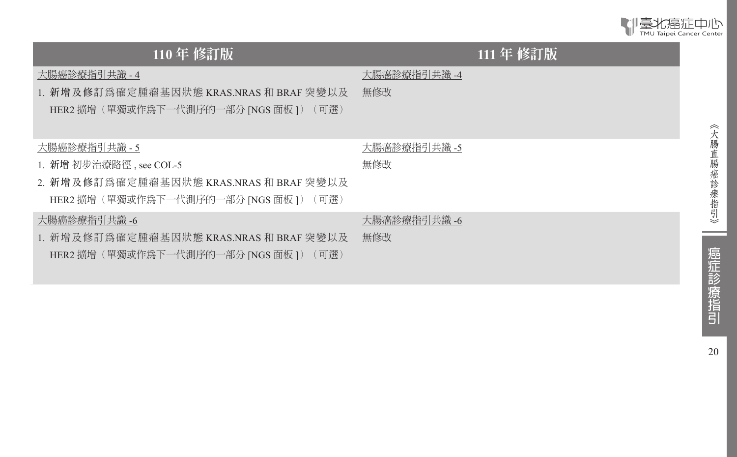| TMU Taipei Cancer Center |
|--------------------------|
| TMU Taipei Cancer Center |

| $110 \oplus$ 修訂版                                                                                                             | 111 年 修訂版           |
|------------------------------------------------------------------------------------------------------------------------------|---------------------|
| 大腸癌診療指引共識 - 4<br>1. 新增及修訂為確定腫瘤基因狀態 KRAS.NRAS 和 BRAF 突變以及<br>HER2 擴增(單獨或作爲下一代測序的一部分 [NGS 面板 ])(可選)                            | 大腸癌診療指引共識 -4<br>無修改 |
| 大腸癌診療指引共識 - 5<br>1. 新增 初步治療路徑, see COL-5<br>2. 新增及修訂為確定腫瘤基因狀態 KRAS.NRAS 和 BRAF 突變以及<br>HER2 擴增(單獨或作爲下一代測序的一部分 [NGS 面板 ])(可選) | 大腸癌診療指引共識 -5<br>無修改 |
| 大腸癌診療指引共識 -6<br>1. 新增及修訂為確定腫瘤基因狀態 KRAS.NRAS 和 BRAF 突變以及<br>HER2 擴增(單獨或作爲下一代測序的一部分 [NGS 面板 ])(可選)                             | 大腸癌診療指引共識 -6<br>無修改 |

癌症診療指引

20

《大腸直腸癌診療指引》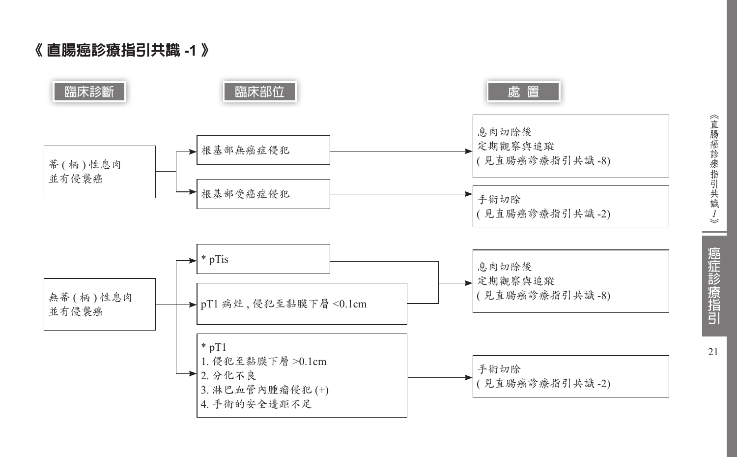《 直腸癌診療指引共識 **-1**  》

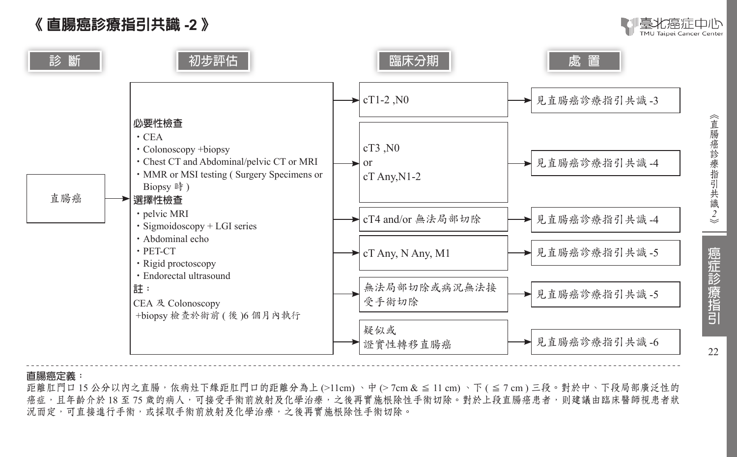### 《 直腸癌診療指引共識 **-2** 》



識 *2*



#### **直腸癌定義:**

距離肛門口 15 公分以内之直腸,依病灶下緣距肛門口的距離分為上 (>11cm)、中 (> 7cm & ≤ 11 cm)、下 ( ≤ 7 cm) 三段。對於中、下段局部廣泛性的 癌症,且年齡介於 18 至 75 歲的病人,可接受手術前放射及化學治療,之後再實施根除性手術切除。對於上段直腸癌患者,則建議由臨床醫師視患者狀 況而定,可直接進行手術,或採取手術前放射及化學治療,之後再實施根除性手術切除。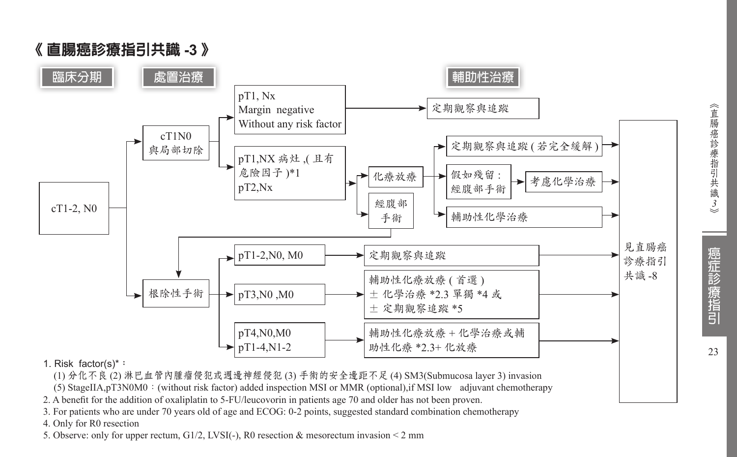

- 1. Risk factor(s)\***:**
- (1) 分化不良 (2) 淋巴血管內腫瘤侵犯或週邊神經侵犯 (3) 手術的安全邊距不足 (4) SM3(Submucosa layer 3) invasion
- (5) StageIIA,pT3N0M0:(without risk factor) added inspection MSI or MMR (optional),if MSI low adjuvant chemotherapy
- 2. A benefit for the addition of oxaliplatin to 5-FU/leucovorin in patients age 70 and older has not been proven.
- 3. For patients who are under 70 years old of age and ECOG: 0-2 points, suggested standard combination chemotherapy
- 4. Only for R0 resection
- 5. Observe: only for upper rectum,  $G1/2$ , LVSI(-), R0 resection & mesorectum invasion < 2 mm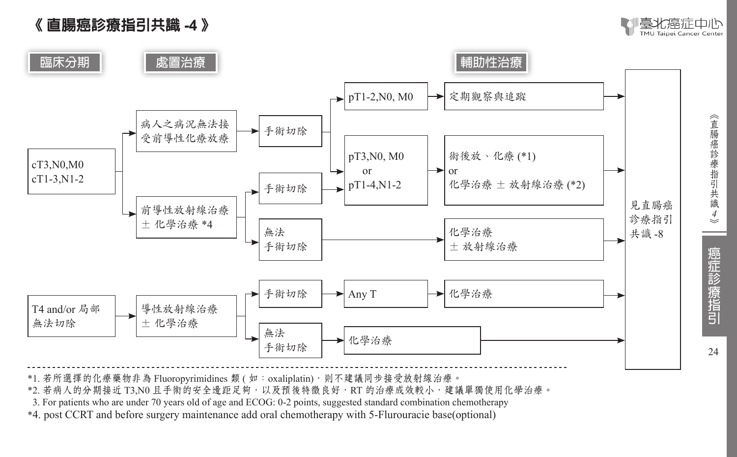



\*1. 若所選擇的化療藥物非為 Fluoropyrimidines 類 ( 如: oxaliplatin), 則不建議同步接受放射線治療。

\*2. 若病人的分期接近 T3,N0 且手術的安全邊距足夠,以及預後特徵良好,RT 的治療成效較小,建議單獨使用化學治療。

\*3. For patients who are under 70 years old of age and ECOG: 0-2 points, suggested standard combination chemotherapy

\*4. post CCRT and before surgery maintenance add oral chemotherapy with 5-Flurouracie base(optional)

《直腸癌診療指引共識 *4*癌症診療指引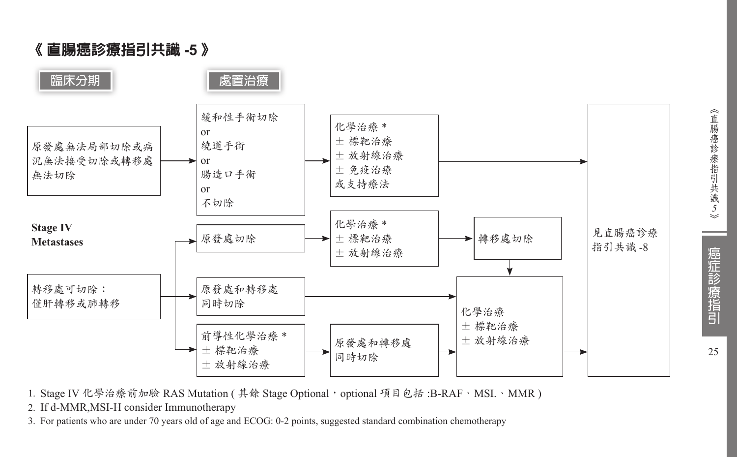

1. Stage IV 化學治療前加驗 RAS Mutation ( 其餘 Stage Optional, optional 項目包括 :B-RAF、MSI.、MMR )

2. If d-MMR,MSI-H consider Immunotherapy

3. For patients who are under 70 years old of age and ECOG: 0-2 points, suggested standard combination chemotherapy

識 *5*癌症診療指引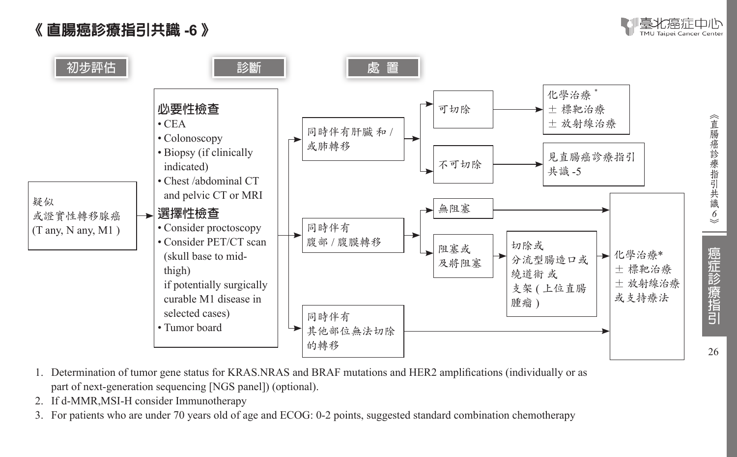《 直腸癌診療指引共識 **-6** 》





- 1. Determination of tumor gene status for KRAS.NRAS and BRAF mutations and HER2 amplifications (individually or as part of next-generation sequencing [NGS panel]) (optional).
- 2. If d-MMR,MSI-H consider Immunotherapy
- 3. For patients who are under 70 years old of age and ECOG: 0-2 points, suggested standard combination chemotherapy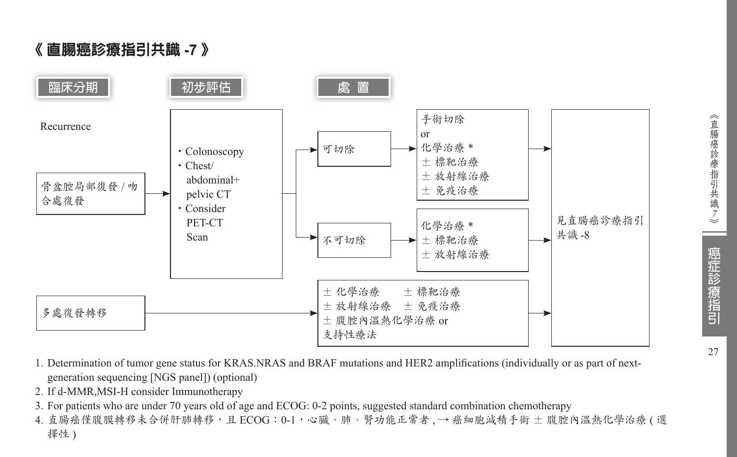### 《 直腸癌診療指引共識 **-7** 》



- 1. Determination of tumor gene status for KRAS.NRAS and BRAF mutations and HER2 amplifications (individually or as part of nextgeneration sequencing [NGS panel]) (optional)
- 2. If d-MMR,MSI-H consider Immunotherapy
- 3. For patients who are under 70 years old of age and ECOG: 0-2 points, suggested standard combination chemotherapy
- 4. 直腸癌僅腹膜轉移未合併肝肺轉移,且 ECOG: 0-1,心臟、肺、腎功能正常者, → 癌細胞減積手術 ± 腹腔內溫熱化學治療 ( 選 擇性)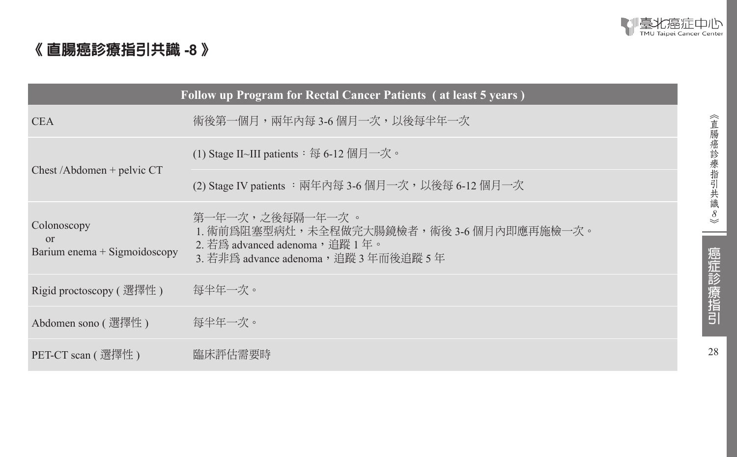

### 《 直腸癌診療指引共識 **-8** 》

| Follow up Program for Rectal Cancer Patients (at least 5 years) |                                                                                                                                          |  |  |  |
|-----------------------------------------------------------------|------------------------------------------------------------------------------------------------------------------------------------------|--|--|--|
| <b>CEA</b>                                                      | 術後第一個月,兩年內每 3-6 個月一次,以後每半年一次                                                                                                             |  |  |  |
|                                                                 | (1) Stage II~III patients $\colon \mathfrak{F}$ 6-12 個月一次。                                                                               |  |  |  |
| $Check / Abdomen + pelvic CT$                                   | (2) Stage IV patients :兩年內每 3-6 個月一次,以後每 6-12 個月一次                                                                                       |  |  |  |
| Colonoscopy<br>$\alpha$<br>Barium enema $+$ Sigmoidoscopy       | 第一年一次,之後每隔一年一次 。<br>1. 術前為阻塞型病灶,未全程做完大腸鏡檢者,術後 3-6 個月內即應再施檢一次。<br>2. 若爲 advanced adenoma, 追蹤 1年。<br>3. 若非爲 advance adenoma,追蹤 3 年而後追蹤 5 年 |  |  |  |
| Rigid proctoscopy ( 選擇性 )                                       | 每半年一次。                                                                                                                                   |  |  |  |
| Abdomen sono (選擇性)                                              | 每半年一次。                                                                                                                                   |  |  |  |
| PET-CT scan ( 選擇性 )                                             | 臨床評估需要時                                                                                                                                  |  |  |  |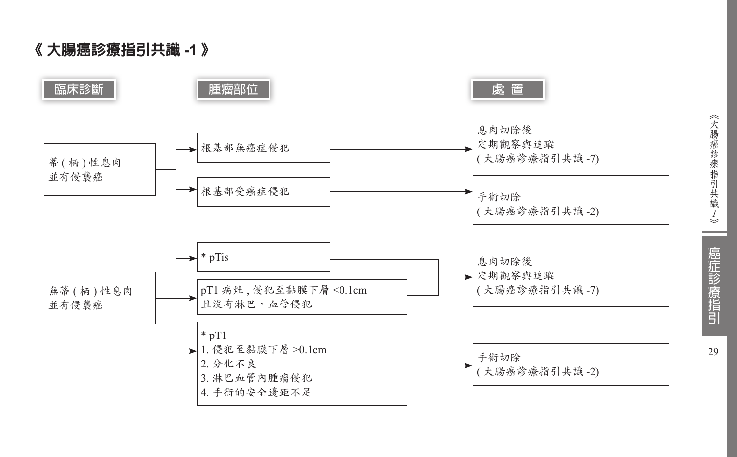《 大腸癌診療指引共識 **-1**  》



《大腸癌診療指引共識ノ》

癌症診療指引 29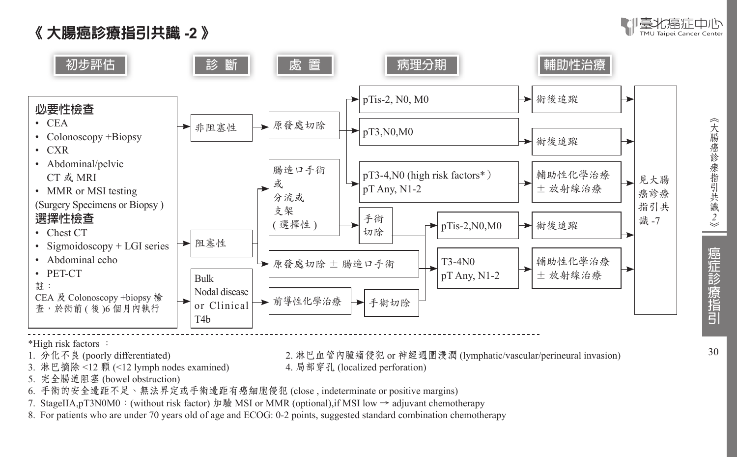





2. 淋巴血管內腫瘤侵犯 or 神經週圍浸潤 (lymphatic/vascular/perineural invasion)<br>4. 局部穿孔 (localized perforation)

- \*High risk factors :<br>1. 分化不良 (poorly differentiated)
- 3. 淋巴摘除 <12 顆 (<12 lymph nodes examined)
- 5. 完全腸道阻塞 (bowel obstruction)
- 6. 手術的安全邊距不足、無法界定或手術邊距有癌細胞侵犯 (close , indeterminate or positive margins)
- 7. StageIIA,pT3N0M0:(without risk factor) 加驗 MSI or MMR (optional),if MSI low → adjuvant chemotherapy
- 8. For patients who are under 70 years old of age and ECOG: 0-2 points, suggested standard combination chemotherapy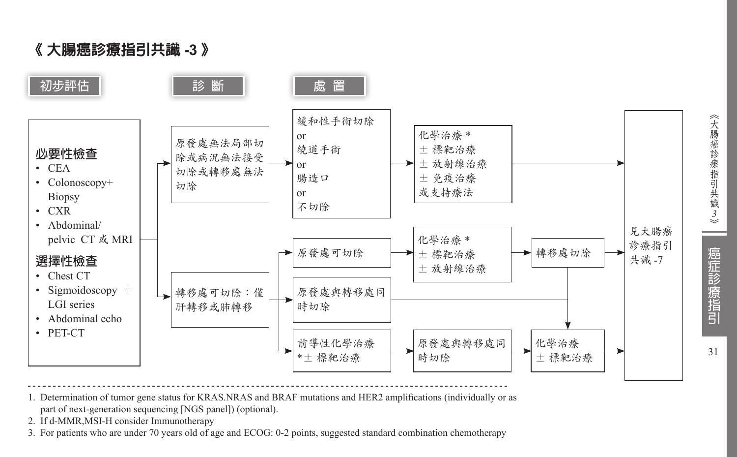《 大腸癌診療指引共識 **-3** 》



- 1. Determination of tumor gene status for KRAS.NRAS and BRAF mutations and HER2 amplifications (individually or as part of next-generation sequencing [NGS panel]) (optional).
- 2. If d-MMR,MSI-H consider Immunotherapy
- 3. For patients who are under 70 years old of age and ECOG: 0-2 points, suggested standard combination chemotherapy

癌症診療指引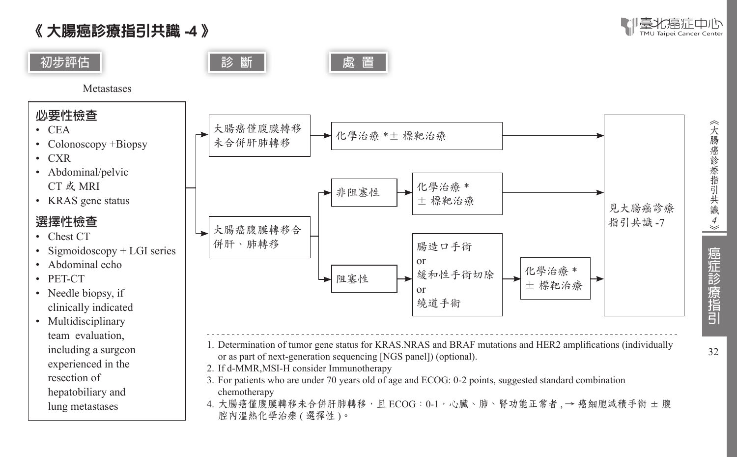《 大腸癌診療指引共識 **-4** 》









**Metastases** 

### **必要性檢查**

- • CEA
- Colonoscopy +Biopsy
- • CXR
- Abdominal/pelvic CT 或 MRI
- KRAS gene status

#### **選擇性檢查**

- Chest CT
- Sigmoidoscopy  $+$  LGI series
- Abdominal echo
- • PET-CT
- Needle biopsy, if clinically indicated
- Multidisciplinary team evaluation, including a surgeon experienced in the resection of hepatobiliary and lung metastases



- 1. Determination of tumor gene status for KRAS.NRAS and BRAF mutations and HER2 amplifications (individually or as part of next-generation sequencing [NGS panel]) (optional).
- 2. If d-MMR,MSI-H consider Immunotherapy
- 3. For patients who are under 70 years old of age and ECOG: 0-2 points, suggested standard combination chemotherapy
- 4. 大腸癌僅腹膜轉移未合併肝肺轉移,且 ECOG:0-1,心臟、肺、腎功能正常者 → 癌細胞減積手術 ± 腹 腔內溫熱化學治療 (選擇性)。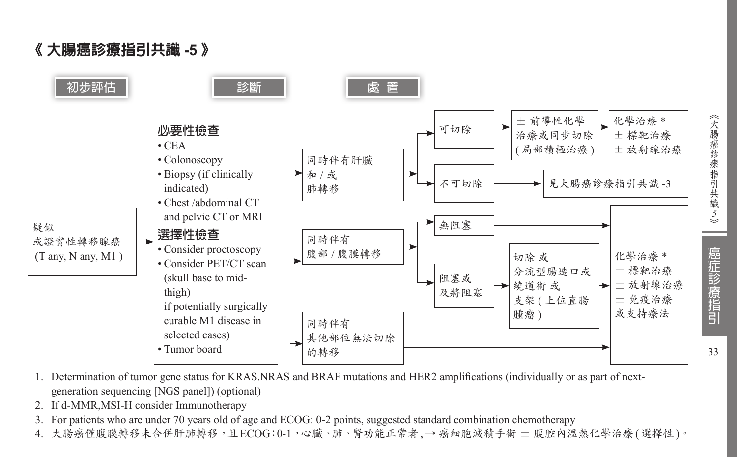《 大腸癌診療指引共識 **-5** 》



- 1. Determination of tumor gene status for KRAS.NRAS and BRAF mutations and HER2 amplifications (individually or as part of nextgeneration sequencing [NGS panel]) (optional)
- 2. If d-MMR,MSI-H consider Immunotherapy
- 3. For patients who are under 70 years old of age and ECOG: 0-2 points, suggested standard combination chemotherapy
- 4. 大腸癌僅腹膜轉移未合併肝肺轉移,且ECOG:0-1,心臟、肺、腎功能正常者,→ 癌細胞減積手術 ± 腹腔內溫熱化學治療(選擇性)。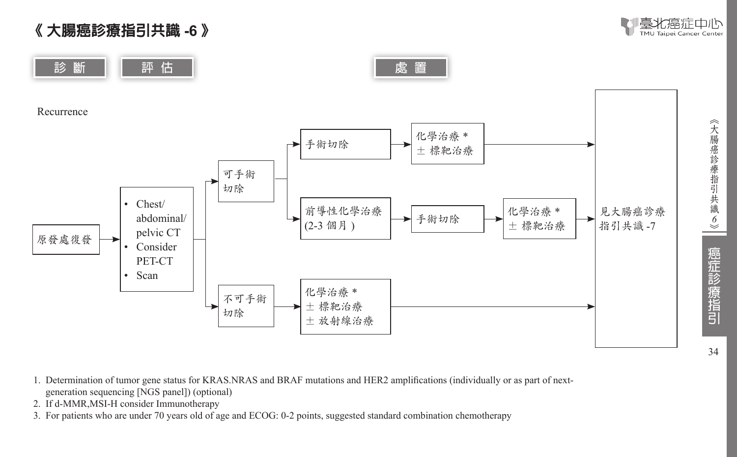《 大腸癌診療指引共識 **-6** 》



34

癌症診療指引

識 *6*



- 1. Determination of tumor gene status for KRAS.NRAS and BRAF mutations and HER2 amplifications (individually or as part of nextgeneration sequencing [NGS panel]) (optional)
- 2. If d-MMR,MSI-H consider Immunotherapy
- 3. For patients who are under 70 years old of age and ECOG: 0-2 points, suggested standard combination chemotherapy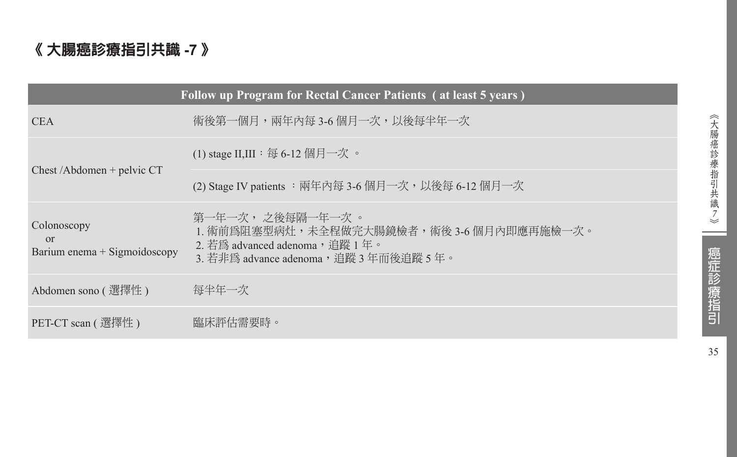### 《 大腸癌診療指引共識 **-7** 》

|                                                         | Follow up Program for Rectal Cancer Patients (at least 5 years)                                                                            |
|---------------------------------------------------------|--------------------------------------------------------------------------------------------------------------------------------------------|
| <b>CEA</b>                                              | 術後第一個月,兩年內每3-6個月一次,以後每半年一次                                                                                                                 |
|                                                         | (1) stage II,III : 每 6-12 個月一次 。                                                                                                           |
| $Check / Abdomen + pelvic CT$                           | (2) Stage IV patients : 兩年內每 3-6 個月一次, 以後每 6-12 個月一次                                                                                       |
| Colonoscopy<br>$\Omega$<br>Barium enema + Sigmoidoscopy | 第一年一次, 之後每隔一年一次 。<br>1. 術前爲阻塞型病灶,未全程做完大腸鏡檢者,術後 3-6 個月內即應再施檢一次。<br>2. 若爲 advanced adenoma, 追蹤 1年。<br>3. 若非為 advance adenoma,追蹤 3 年而後追蹤 5 年。 |
| Abdomen sono ( 選擇性 )                                    | 每半年一次                                                                                                                                      |
| PET-CT scan ( 選擇性 )                                     | 臨床評估需要時。                                                                                                                                   |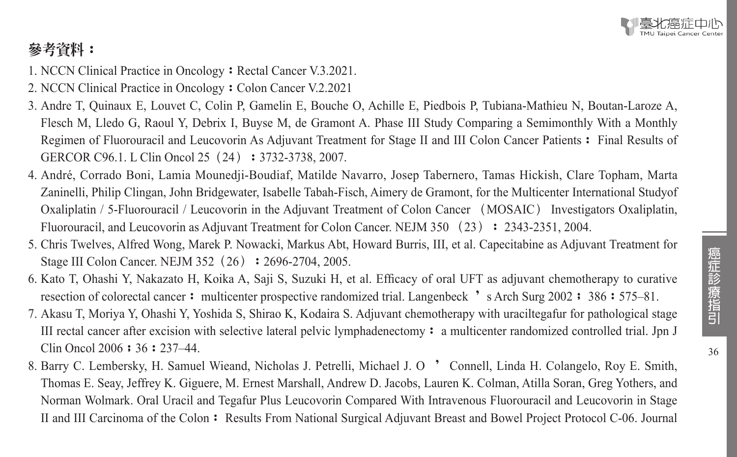## 參考資料:

- 1. NCCN Clinical Practice in Oncology: Rectal Cancer V.3.2021.
- 2. NCCN Clinical Practice in Oncology: Colon Cancer V.2.2021
- 3. Andre T, Quinaux E, Louvet C, Colin P, Gamelin E, Bouche O, Achille E, Piedbois P, Tubiana-Mathieu N, Boutan-Laroze A, Flesch M, Lledo G, Raoul Y, Debrix I, Buyse M, de Gramont A. Phase III Study Comparing a Semimonthly With a Monthly Regimen of Fluorouracil and Leucovorin As Adjuvant Treatment for Stage II and III Colon Cancer Patients: Final Results of GERCOR C96.1. L Clin Oncol 25 (24): 3732-3738, 2007.
- 4. André, Corrado Boni, Lamia Mounedji-Boudiaf, Matilde Navarro, Josep Tabernero, Tamas Hickish, Clare Topham, Marta Zaninelli, Philip Clingan, John Bridgewater, Isabelle Tabah-Fisch, Aimery de Gramont, for the Multicenter International Studyof Oxaliplatin / 5-Fluorouracil / Leucovorin in the Adjuvant Treatment of Colon Cancer (MOSAIC) Investigators Oxaliplatin, Fluorouracil, and Leucovorin as Adjuvant Treatment for Colon Cancer. NEJM 350 (23): 2343-2351, 2004.
- 5. Chris Twelves, Alfred Wong, Marek P. Nowacki, Markus Abt, Howard Burris, III, et al. Capecitabine as Adjuvant Treatment for Stage III Colon Cancer. NEJM 352 (26): 2696-2704, 2005.
- 6. Kato T, Ohashi Y, Nakazato H, Koika A, Saji S, Suzuki H, et al. Efficacy of oral UFT as adjuvant chemotherapy to curative resection of colorectal cancer: multicenter prospective randomized trial. Langenbeck 's Arch Surg 2002: 386:575–81.
- 7. Akasu T, Moriya Y, Ohashi Y, Yoshida S, Shirao K, Kodaira S. Adjuvant chemotherapy with uraciltegafur for pathological stage III rectal cancer after excision with selective lateral pelvic lymphadenectomy: a multicenter randomized controlled trial. Jpn J Clin Oncol 2006 : 36 : 237–44.
- 8. Barry C. Lembersky, H. Samuel Wieand, Nicholas J. Petrelli, Michael J. O ' Connell, Linda H. Colangelo, Roy E. Smith, Thomas E. Seay, Jeffrey K. Giguere, M. Ernest Marshall, Andrew D. Jacobs, Lauren K. Colman, Atilla Soran, Greg Yothers, and Norman Wolmark. Oral Uracil and Tegafur Plus Leucovorin Compared With Intravenous Fluorouracil and Leucovorin in Stage II and III Carcinoma of the Colon: Results From National Surgical Adjuvant Breast and Bowel Project Protocol C-06. Journal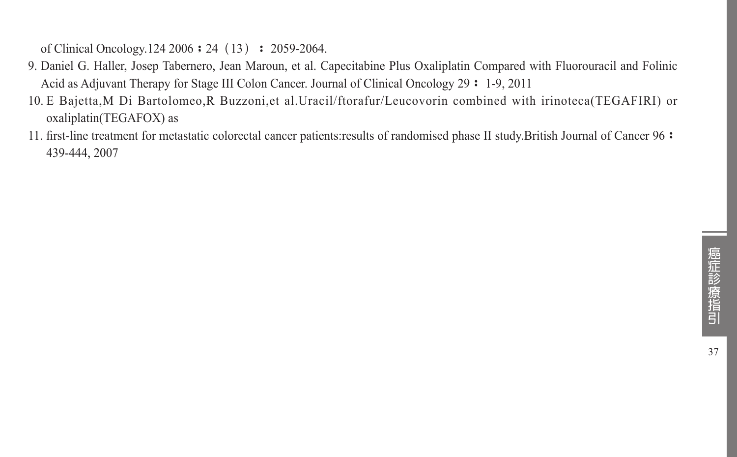of Clinical Oncology.124 2006 : 24 (13) : 2059-2064.

- 9. Daniel G. Haller, Josep Tabernero, Jean Maroun, et al. Capecitabine Plus Oxaliplatin Compared with Fluorouracil and Folinic Acid as Adjuvant Therapy for Stage III Colon Cancer. Journal of Clinical Oncology 29: 1-9, 2011
- 10. E Bajetta,M Di Bartolomeo,R Buzzoni,et al.Uracil/ftorafur/Leucovorin combined with irinoteca(TEGAFIRI) or oxaliplatin(TEGAFOX) as
- 11. first-line treatment for metastatic colorectal cancer patients:results of randomised phase II study.British Journal of Cancer 96: 439-444, 2007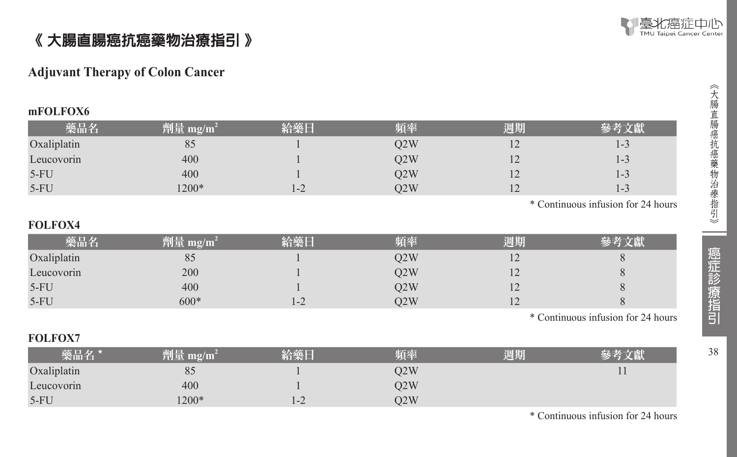

### 《 大腸直腸癌抗癌藥物治療指引 》

#### **Adjuvant Therapy of Colon Cancer**

#### **mFOLFOX6**

| 藥品名         | 劑量 mg/m <sup>2</sup> | 給藥日     | 頻率  | 週期             |                   |
|-------------|----------------------|---------|-----|----------------|-------------------|
| Oxaliplatin | 85                   |         | O2W | $\overline{1}$ | ز-ا               |
| Leucovorin  | 400                  |         | O2W | $\overline{1}$ | $\sqrt{ }$<br>レーン |
| $5-FU$      | 400                  |         | Q2W | $\overline{1}$ | $1 - 3$           |
| $5-FU$      | $1200*$              | $1 - 2$ | O2W | $\overline{1}$ | ز-ا               |

\* Continuous infusion for 24 hours

#### **FOLFOX4**

| 藥品名         | 劑量 mg/m <sup>2</sup> | 給藥日     | 頻率  | 週期      |  |
|-------------|----------------------|---------|-----|---------|--|
| Oxaliplatin | 80                   |         | 22W | ⊥ ∠     |  |
| Leucovorin  | 200                  |         | 02W | ⊥ ∠     |  |
| $5-FU$      | 400                  |         | 02W | ⊥∠      |  |
| $5-FU$      | $600*$               | $1 - 2$ | O2W | $\perp$ |  |

\* Continuous infusion for 24 hours

#### **FOLFOX7**

| 藥品名 *       | 劑量 mg/m | 給藥厂  | 陌奉  | 週期 |  |
|-------------|---------|------|-----|----|--|
| Oxaliplatin | 85      |      | O2W |    |  |
| Leucovorin  | 400     |      | Q2W |    |  |
| $5-FU$      | 1200*   | $-2$ | O2W |    |  |

\* Continuous infusion for 24 hours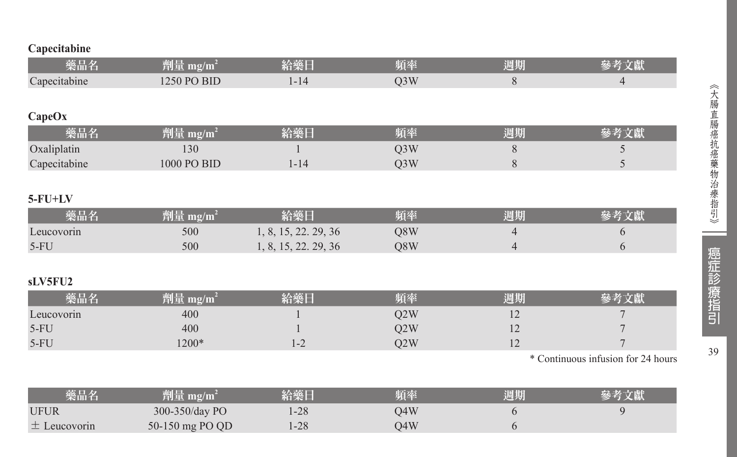#### **Capecitabine**

| 藥品名           | 劑量 mg/m <sup>2</sup> | 給藥日                  | 頻率               | 週期             | 參考文獻                               |
|---------------|----------------------|----------------------|------------------|----------------|------------------------------------|
| Capecitabine  | 1250 PO BID          | $1 - 14$             | Q <sub>3</sub> W | 8              | $\overline{4}$                     |
|               |                      |                      |                  |                |                                    |
| CapeOx        |                      |                      |                  |                |                                    |
| 藥品名           | 劑量 $mg/m^2$          | 給藥日                  | 頻率               | 週期             | 參考文獻                               |
| Oxaliplatin   | 130                  |                      | Q3W              | 8              | 5                                  |
| Capecitabine  | 1000 PO BID          | $1 - 14$             | Q <sub>3</sub> W | 8              | 5                                  |
|               |                      |                      |                  |                |                                    |
| $5$ - $FU+LV$ |                      |                      |                  |                |                                    |
| 藥品名           | 劑量 mg/m <sup>2</sup> | 給藥日                  | 頻率               | 週期             | 參考文獻                               |
| Leucovorin    | 500                  | 1, 8, 15, 22. 29, 36 | Q8W              | 4              | 6                                  |
| $5-FU$        | 500                  | 1, 8, 15, 22, 29, 36 | Q8W              | $\overline{4}$ | 6                                  |
|               |                      |                      |                  |                |                                    |
| sLV5FU2       |                      |                      |                  |                |                                    |
| 藥品名           | 劑量 $mg/m^2$          | 給藥日                  | 頻率               | 週期             | 參考文獻                               |
| Leucovorin    | 400                  |                      | Q <sub>2</sub> W | 12             |                                    |
| $5-FU$        | 400                  |                      | Q2W              | 12             |                                    |
| $5-FU$        | 1200*                | $1 - 2$              | Q <sub>2</sub> W | 12             | $\overline{7}$                     |
|               |                      |                      |                  |                | * Continuous infusion for 24 hours |

| 藥品名              | 劑量 mg/m <sup>2</sup> | 給藥日   | 頻率  | 週期 | 參考文獻 |
|------------------|----------------------|-------|-----|----|------|
| <b>UFUR</b>      | $300-350$ /day PO    | $-28$ | D4W |    |      |
| $\pm$ Leucovorin | 50-150 mg PO QD      | $-28$ | D4W |    |      |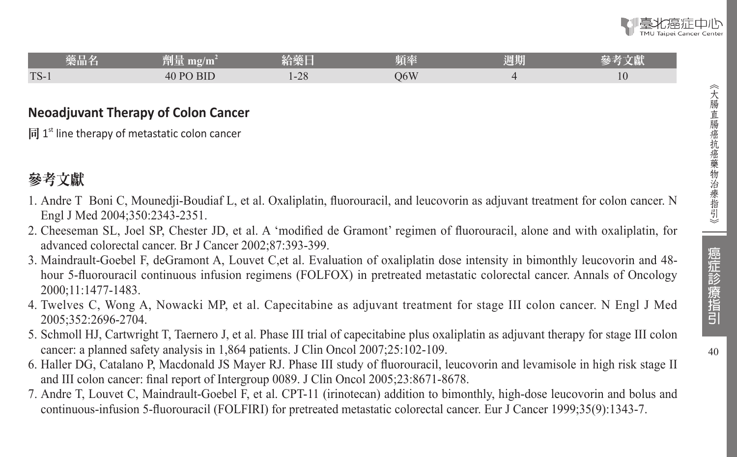$40$ 

| 藥品名    | 細工<br>91 F<br>ш        | 給藥日             | 頃率  | 週期 | ベビス<br>に腕へ |
|--------|------------------------|-----------------|-----|----|------------|
| $TS-1$ | <b>BID</b><br>$-40$ PC | $\cap$<br>$-20$ | 06W |    | 10         |

#### **Neoadjuvant Therapy of Colon Cancer**

同  $1<sup>st</sup>$  line therapy of metastatic colon cancer

### 參考文獻

- 1. Andre T Boni C, Mounedji-Boudiaf L, et al. Oxaliplatin, fluorouracil, and leucovorin as adjuvant treatment for colon cancer. N Engl J Med 2004;350:2343-2351.
- 2. Cheeseman SL, Joel SP, Chester JD, et al. A 'modified de Gramont' regimen of fluorouracil, alone and with oxaliplatin, for advanced colorectal cancer. Br J Cancer 2002;87:393-399.
- 3. Maindrault-Goebel F, deGramont A, Louvet C,et al. Evaluation of oxaliplatin dose intensity in bimonthly leucovorin and 48 hour 5-fluorouracil continuous infusion regimens (FOLFOX) in pretreated metastatic colorectal cancer. Annals of Oncology 2000;11:1477-1483.
- 4. Twelves C, Wong A, Nowacki MP, et al. Capecitabine as adjuvant treatment for stage III colon cancer. N Engl J Med 2005;352:2696-2704.
- 5. Schmoll HJ, Cartwright T, Taernero J, et al. Phase III trial of capecitabine plus oxaliplatin as adjuvant therapy for stage III colon cancer: a planned safety analysis in 1,864 patients. J Clin Oncol 2007;25:102-109.
- 6. Haller DG, Catalano P, Macdonald JS Mayer RJ. Phase III study of fluorouracil, leucovorin and levamisole in high risk stage II and III colon cancer: final report of Intergroup 0089. J Clin Oncol 2005;23:8671-8678.
- 7. Andre T, Louvet C, Maindrault-Goebel F, et al. CPT-11 (irinotecan) addition to bimonthly, high-dose leucovorin and bolus and continuous-infusion 5-fluorouracil (FOLFIRI) for pretreated metastatic colorectal cancer. Eur J Cancer 1999;35(9):1343-7.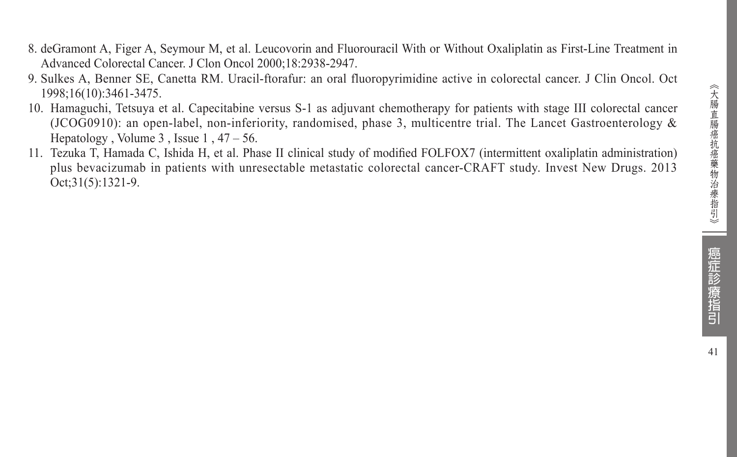- 8. deGramont A, Figer A, Seymour M, et al. Leucovorin and Fluorouracil With or Without Oxaliplatin as First-Line Treatment in Advanced Colorectal Cancer. J Clon Oncol 2000;18:2938-2947.
- 9. Sulkes A, Benner SE, Canetta RM. Uracil-ftorafur: an oral fluoropyrimidine active in colorectal cancer. J Clin Oncol. Oct 1998;16(10):3461-3475.
- 10. Hamaguchi, Tetsuya et al. Capecitabine versus S-1 as adjuvant chemotherapy for patients with stage III colorectal cancer (JCOG0910): an open-label, non-inferiority, randomised, phase 3, multicentre trial. The Lancet Gastroenterology & Hepatology , Volume  $3$ , Issue  $1, 47 - 56$ .
- 11. Tezuka T, Hamada C, Ishida H, et al. Phase II clinical study of modified FOLFOX7 (intermittent oxaliplatin administration) plus bevacizumab in patients with unresectable metastatic colorectal cancer-CRAFT study. Invest New Drugs. 2013 Oct;31(5):1321-9.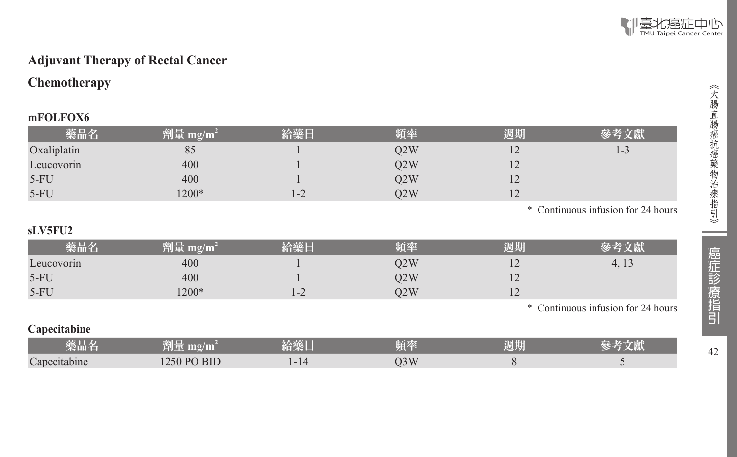

#### **Adjuvant Therapy of Rectal Cancer**

#### **Chemotherapy**

#### **mFOLFOX6**

| 藥品名         | 劑量 mg/m <sup>2</sup> | 給藥日 | 頻率  | 週期 | 參考文獻                               |
|-------------|----------------------|-----|-----|----|------------------------------------|
| Oxaliplatin | 85                   |     | O2W |    | 1-3                                |
| Leucovorin  | 400                  |     | O2W |    |                                    |
| $5-FU$      | 400                  |     | O2W |    |                                    |
| $5-FU$      | 1200*                | 1-2 | O2W |    |                                    |
|             |                      |     |     |    | * Continuous infusion for 24 hours |

#### **sLV5FU2**

| 藥品名        | 劑量 mg/m $^2$ | 给藥。 | 铂率  | 週期  |                                    |
|------------|--------------|-----|-----|-----|------------------------------------|
| Leucovorin | 400          |     | D2W | - ⊥ | 4, 13                              |
| $5-FU$     | 400          |     | O2W | - ⊥ |                                    |
| $5-FU$     | $1200*$      | 1-2 | O2W | - ⊥ |                                    |
|            |              |     |     |     | * Continuous infusion for 24 hours |

#### **Capecitabine**

| 袋品名          | mg/m                         | <b>ANGELES</b><br><b>ANGELOR</b> | 计自行表<br>× =<br>25 L | 週期 | $-161$ |
|--------------|------------------------------|----------------------------------|---------------------|----|--------|
| Capecitabine | <b>BID</b><br>$D\cap$<br>250 | .                                | O3W                 |    |        |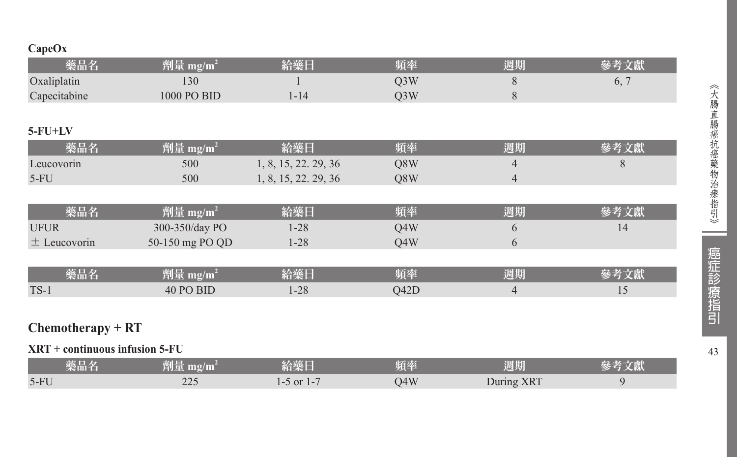#### **CapeOx**

| 藥品名                              | 劑量 mg/m <sup>2</sup>            | 給藥日                  | 頻率               | 週期             | 參考文獻 |
|----------------------------------|---------------------------------|----------------------|------------------|----------------|------|
| Oxaliplatin                      | 130                             |                      | Q <sub>3</sub> W | 8              | 6, 7 |
| Capecitabine                     | 1000 PO BID                     | $1 - 14$             | Q3W              | $\,$ 8 $\,$    |      |
|                                  |                                 |                      |                  |                |      |
| $5$ - $FU+LV$                    |                                 |                      |                  |                |      |
| 藥品名                              | 劑量 mg/m <sup>2</sup>            | 給藥日                  | 頻率               | 週期             | 參考文獻 |
| Leucovorin                       | 500                             | 1, 8, 15, 22. 29, 36 | Q8W              | 4              | 8    |
| $5-FU$                           | 500                             | 1, 8, 15, 22. 29, 36 | Q8W              | $\overline{4}$ |      |
|                                  |                                 |                      |                  |                |      |
| 藥品名                              | 劑量 mg/m <sup>2</sup>            | 給藥日                  | 頻率               | 週期             | 參考文獻 |
| <b>UFUR</b>                      | 300-350/day PO                  | $1 - 28$             | Q4W              | 6              | 14   |
| $\pm$ Leucovorin                 | 50-150 mg PO QD                 | $1 - 28$             | Q4W              | 6              |      |
|                                  |                                 |                      |                  |                |      |
| 藥品名                              | 劑量 mg/m <sup>2</sup>            | 給藥日                  | 頻率               | 週期             | 參考文獻 |
| $TS-1$                           | 40 PO BID                       | $1 - 28$             | Q42D             | $\overline{4}$ | 15   |
|                                  |                                 |                      |                  |                |      |
| $Chemotherapy + RT$              |                                 |                      |                  |                |      |
| $XRT$ + continuous infusion 5-FU |                                 |                      |                  |                |      |
| 藥品名                              | $\frac{m}{2}$ mg/m <sup>2</sup> | 給藥日                  | 頻率               | 週期             | 參考文獻 |

5-FU 225 1-5 or 1-7 Q4W During XRT 9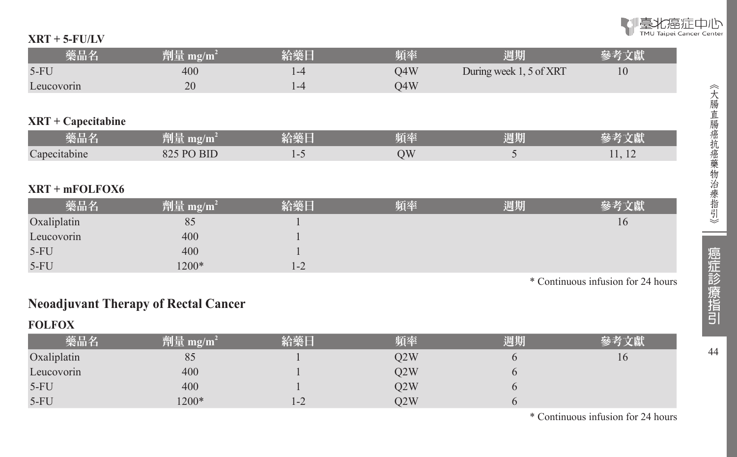

#### **XRT + 5-FU/LV**

| 藥品名                 | 劑量 mg/m <sup>2</sup> | 給藥日     | 頻率  | 週期                                 | 參考文獻   |
|---------------------|----------------------|---------|-----|------------------------------------|--------|
| $5-FU$              | 400                  | $1 - 4$ | Q4W | During week 1, 5 of XRT            | 10     |
| Leucovorin          | 20                   | $1 - 4$ | Q4W |                                    |        |
|                     |                      |         |     |                                    |        |
| $XRT + Capecitable$ |                      |         |     |                                    |        |
| 藥品名                 | 劑量 mg/m <sup>2</sup> | 給藥日     | 頻率  | 週期                                 | 參考文獻   |
| Capecitabine        | 825 PO BID           | $1 - 5$ | QW  | 5                                  | 11, 12 |
|                     |                      |         |     |                                    |        |
| $XRT + mFOLFOX6$    |                      |         |     |                                    |        |
| 藥品名                 | 劑量 mg/m <sup>2</sup> | 給藥日     | 頻率  | 週期                                 | 參考文獻   |
| Oxaliplatin         | 85                   |         |     |                                    | 16     |
| Leucovorin          | 400                  |         |     |                                    |        |
| $5-FU$              | 400                  |         |     |                                    |        |
| $5-FU$              | 1200*                | $1 - 2$ |     |                                    |        |
|                     |                      |         |     | $\sim$ $\sim$ $\sim$ $\sim$ $\sim$ | .      |

\* Continuous infusion for 24 hours

### **Neoadjuvant Therapy of Rectal Cancer**

#### **FOLFOX**

| 藥品名         | 劑量 mg/m $^2$ | 給藥日   | 踊索  | 週期 | 參考立獻 |
|-------------|--------------|-------|-----|----|------|
| Oxaliplatin | 85           |       | O2W |    | 10   |
| Leucovorin  | 400          |       | O2W |    |      |
| $5-FU$      | 400          |       | O2W |    |      |
| $5-FU$      | $1200*$      | $1-Z$ | O2W |    |      |

\* Continuous infusion for 24 hours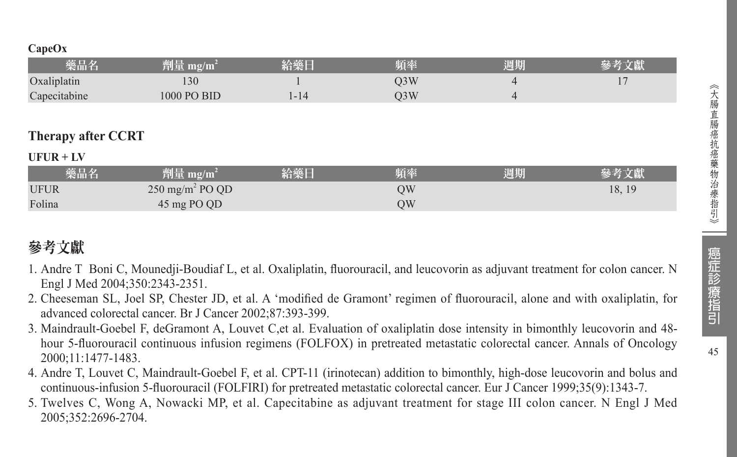| 樂品名          |                       | 届恭     | 週期 |  |
|--------------|-----------------------|--------|----|--|
| Oxaliplatin  | 30                    | $J_3W$ |    |  |
| Capecitabine | <b>BID</b><br>$000 -$ | J3W    |    |  |
|              |                       |        |    |  |

### **Therapy after CCRT**

#### **UFUR + LV**

| 藥品名         | $^2$ 劑量 mg/m <sup>2</sup>  | 給藥日 | 頻率 | 週期 | 參考文獻   |
|-------------|----------------------------|-----|----|----|--------|
| <b>UFUR</b> | $250 \text{ mg/m}^2$ PO QD |     | ЭW |    | 18, 19 |
| Folina      | 45 mg PO QD                |     | ЭW |    |        |

### 參考文獻

- 1. Andre T Boni C, Mounedji-Boudiaf L, et al. Oxaliplatin, fluorouracil, and leucovorin as adjuvant treatment for colon cancer. N Engl J Med 2004;350:2343-2351.
- 2. Cheeseman SL, Joel SP, Chester JD, et al. A 'modified de Gramont' regimen of fluorouracil, alone and with oxaliplatin, for advanced colorectal cancer. Br J Cancer 2002;87:393-399.
- 3. Maindrault-Goebel F, deGramont A, Louvet C,et al. Evaluation of oxaliplatin dose intensity in bimonthly leucovorin and 48 hour 5-fluorouracil continuous infusion regimens (FOLFOX) in pretreated metastatic colorectal cancer. Annals of Oncology 2000;11:1477-1483.
- 4. Andre T, Louvet C, Maindrault-Goebel F, et al. CPT-11 (irinotecan) addition to bimonthly, high-dose leucovorin and bolus and continuous-infusion 5-fluorouracil (FOLFIRI) for pretreated metastatic colorectal cancer. Eur J Cancer 1999;35(9):1343-7.
- 5. Twelves C, Wong A, Nowacki MP, et al. Capecitabine as adjuvant treatment for stage III colon cancer. N Engl J Med 2005;352:2696-2704.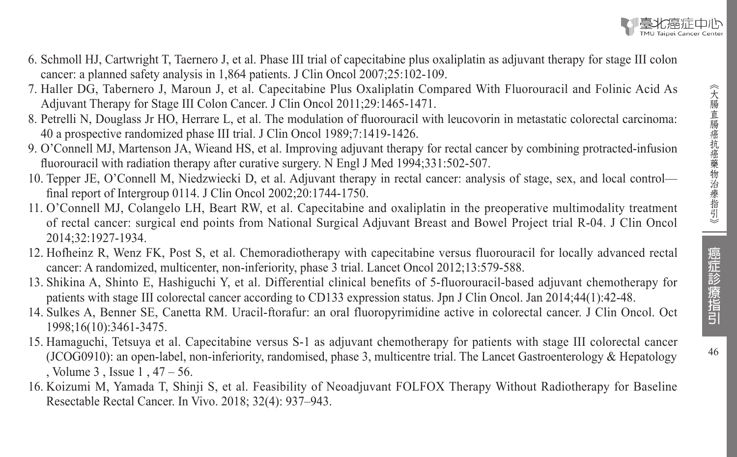- 6. Schmoll HJ, Cartwright T, Taernero J, et al. Phase III trial of capecitabine plus oxaliplatin as adjuvant therapy for stage III colon cancer: a planned safety analysis in 1,864 patients. J Clin Oncol 2007;25:102-109.
- 7. Haller DG, Tabernero J, Maroun J, et al. Capecitabine Plus Oxaliplatin Compared With Fluorouracil and Folinic Acid As Adjuvant Therapy for Stage III Colon Cancer. J Clin Oncol 2011;29:1465-1471.
- 8. Petrelli N, Douglass Jr HO, Herrare L, et al. The modulation of fluorouracil with leucovorin in metastatic colorectal carcinoma: 40 a prospective randomized phase III trial. J Clin Oncol 1989;7:1419-1426.
- 9. O'Connell MJ, Martenson JA, Wieand HS, et al. Improving adjuvant therapy for rectal cancer by combining protracted-infusion fluorouracil with radiation therapy after curative surgery. N Engl J Med 1994;331:502-507.
- 10. Tepper JE, O'Connell M, Niedzwiecki D, et al. Adjuvant therapy in rectal cancer: analysis of stage, sex, and local control final report of Intergroup 0114. J Clin Oncol 2002;20:1744-1750.
- 11. O'Connell MJ, Colangelo LH, Beart RW, et al. Capecitabine and oxaliplatin in the preoperative multimodality treatment of rectal cancer: surgical end points from National Surgical Adjuvant Breast and Bowel Project trial R-04. J Clin Oncol 2014;32:1927-1934.
- 12. Hofheinz R, Wenz FK, Post S, et al. Chemoradiotherapy with capecitabine versus fluorouracil for locally advanced rectal cancer: A randomized, multicenter, non-inferiority, phase 3 trial. Lancet Oncol 2012;13:579-588.
- 13. Shikina A, Shinto E, Hashiguchi Y, et al. Differential clinical benefits of 5-fluorouracil-based adjuvant chemotherapy for patients with stage III colorectal cancer according to CD133 expression status. Jpn J Clin Oncol. Jan 2014;44(1):42-48.
- 14. Sulkes A, Benner SE, Canetta RM. Uracil-ftorafur: an oral fluoropyrimidine active in colorectal cancer. J Clin Oncol. Oct 1998;16(10):3461-3475.
- 15. Hamaguchi, Tetsuya et al. Capecitabine versus S-1 as adjuvant chemotherapy for patients with stage III colorectal cancer (JCOG0910): an open-label, non-inferiority, randomised, phase 3, multicentre trial. The Lancet Gastroenterology & Hepatology , Volume 3 , Issue 1 , 47 – 56.
- 16. Koizumi M, Yamada T, Shinji S, et al. Feasibility of Neoadjuvant FOLFOX Therapy Without Radiotherapy for Baseline Resectable Rectal Cancer. In Vivo. 2018; 32(4): 937–943.

癌症診療指引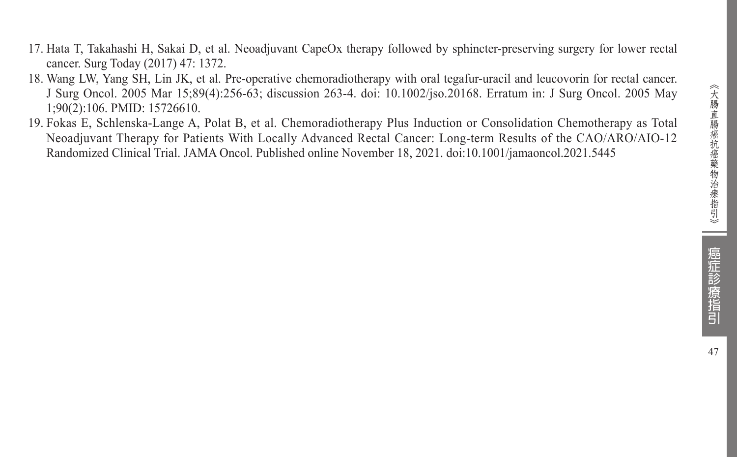- 17. Hata T, Takahashi H, Sakai D, et al. Neoadjuvant CapeOx therapy followed by sphincter-preserving surgery for lower rectal cancer. Surg Today (2017) 47: 1372.
- 18. Wang LW, Yang SH, Lin JK, et al. Pre-operative chemoradiotherapy with oral tegafur-uracil and leucovorin for rectal cancer. J Surg Oncol. 2005 Mar 15;89(4):256-63; discussion 263-4. doi: 10.1002/jso.20168. Erratum in: J Surg Oncol. 2005 May 1;90(2):106. PMID: 15726610.
- 19. Fokas E, Schlenska-Lange A, Polat B, et al. Chemoradiotherapy Plus Induction or Consolidation Chemotherapy as Total Neoadjuvant Therapy for Patients With Locally Advanced Rectal Cancer: Long-term Results of the CAO/ARO/AIO-12 Randomized Clinical Trial. JAMA Oncol. Published online November 18, 2021. doi:10.1001/jamaoncol.2021.5445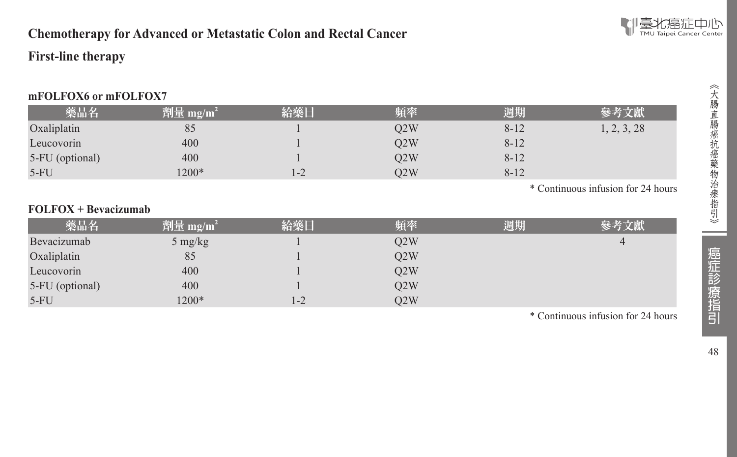

### **Chemotherapy for Advanced or Metastatic Colon and Rectal Cancer**

#### **First-line therapy**

#### **mFOLFOX6 or mFOLFOX7**

| 藥品名             | $ \hat{p}$ [ ] mg/m <sup>2</sup> | 給藥日 | 頻率  | 週期       | 參考文獻       |
|-----------------|----------------------------------|-----|-----|----------|------------|
| Oxaliplatin     | 85                               |     | O2W | $8 - 12$ | , 2, 3, 28 |
| Leucovorin      | 400                              |     | O2W | $8 - 12$ |            |
| 5-FU (optional) | 400                              |     | O2W | $8 - 12$ |            |
| $5-FU$          | $1200*$                          | 1-2 | O2W | $8 - 12$ |            |

\* Continuous infusion for 24 hours

#### **FOLFOX + Bevacizumab**

| 藥品名             | 劑量 mg/m <sup>2</sup> | 給藥日 | 頻率  | 週期 | 參考文獻 |
|-----------------|----------------------|-----|-----|----|------|
| Bevacizumab     | $5 \text{ mg/kg}$    |     | Q2W |    |      |
| Oxaliplatin     | 85                   |     | O2W |    |      |
| Leucovorin      | 400                  |     | O2W |    |      |
| 5-FU (optional) | 400                  |     | O2W |    |      |
| $5-FU$          | $1200*$              | 1-2 | O2W |    |      |

\* Continuous infusion for 24 hours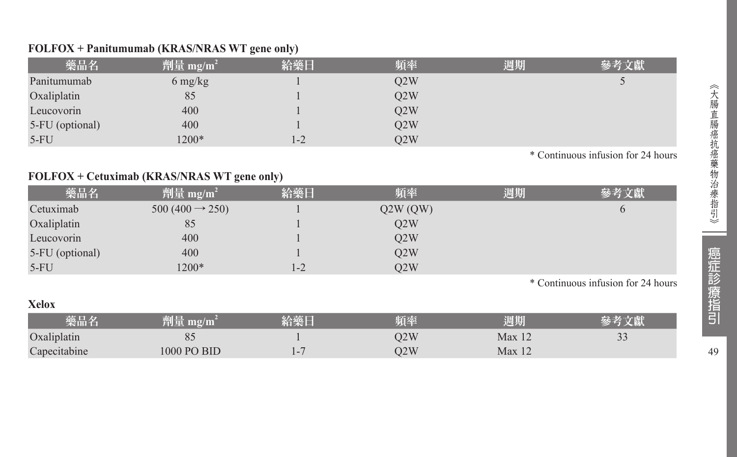#### **FOLFOX + Panitumumab (KRAS/NRAS WT gene only)**

| 藥品名             | 劑量 mg/m <sup>2</sup>            | 給藥日     | 頻率  | 週期 | 參考文獻 |
|-----------------|---------------------------------|---------|-----|----|------|
| Panitumumab     | $6 \frac{\text{mg}}{\text{kg}}$ |         | Q2W |    |      |
| Oxaliplatin     | 85                              |         | O2W |    |      |
| Leucovorin      | 400                             |         | Q2W |    |      |
| 5-FU (optional) | 400                             |         | O2W |    |      |
| $5-FU$          | $1200*$                         | $1 - 2$ | O2W |    |      |

\* Continuous infusion for 24 hours

#### **FOLFOX + Cetuximab (KRAS/NRAS WT gene only)**

**Xelox** 

| 藥品名             | 劑量 mg/m <sup>2</sup>       | 給藥日 | 頻率      | 週期 | 參考文獻 |
|-----------------|----------------------------|-----|---------|----|------|
| Cetuximab       | $500(400 \rightarrow 250)$ |     | Q2W(QW) |    |      |
| Oxaliplatin     | 85                         |     | O2W     |    |      |
| Leucovorin      | 400                        |     | O2W     |    |      |
| 5-FU (optional) | 400                        |     | O2W     |    |      |
| $5-FU$          | 1200*                      | 1-2 | O2W     |    |      |

\* Continuous infusion for 24 hours

| ACIUA        |             |       |     |                   |                |  |  |  |
|--------------|-------------|-------|-----|-------------------|----------------|--|--|--|
| 藥品名          | $m\Omega/m$ | 給藥    | 頻率  | 週期                |                |  |  |  |
| Oxaliplatin  |             |       | 02W | Max <sub>12</sub> | $\gamma$<br>-- |  |  |  |
| Capecitabine | 1000 PO BID | $1 -$ | D2W | Max 12            |                |  |  |  |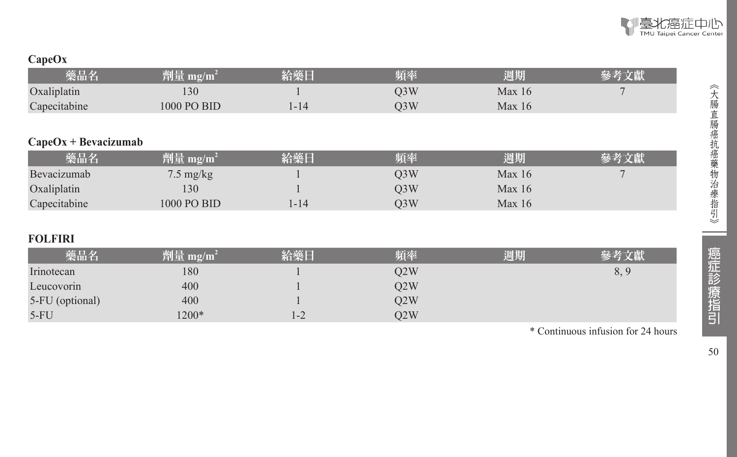

### **CapeOx**

| 藥品名                    | 劑量 mg/m <sup>2</sup> | 給藥日      | 頻率               | 週期     | 參考文獻 |
|------------------------|----------------------|----------|------------------|--------|------|
| Oxaliplatin            | 130                  |          | Q <sub>3</sub> W | Max 16 |      |
| Capecitabine           | 1000 PO BID          | $1 - 14$ | O <sub>3</sub> W | Max 16 |      |
|                        |                      |          |                  |        |      |
| $CapeOx + Bevacizumab$ |                      |          |                  |        |      |
| 藥品名                    | 劑量 mg/m <sup>2</sup> | 給藥日      | 頻率               | 週期     | 參考文獻 |
| Bevacizumab            | $7.5 \text{ mg/kg}$  |          | O <sub>3</sub> W | Max 16 |      |
| Oxaliplatin            | 130                  |          | Q <sub>3</sub> W | Max 16 |      |
| Capecitabine           | 1000 PO BID          | $1 - 14$ | O <sub>3</sub> W | Max 16 |      |
|                        |                      |          |                  |        |      |
| <b>FOLFIRI</b>         |                      |          |                  |        |      |
| 藥品名                    | 劑量 mg/m <sup>2</sup> | 給藥日      | 頻率               | 週期     | 參考文獻 |
| Irinotecan             | 180                  |          | Q2W              |        | 8, 9 |
|                        | $\sim$ $\sim$ $\sim$ |          |                  |        |      |

| .               | __    |      | _________ | ___ |
|-----------------|-------|------|-----------|-----|
| Leucovorin      | 400   |      | O2W       |     |
| 5-FU (optional) | 400   |      | O2W       |     |
| $5-FU$          | 1200* | $-2$ | O2W       |     |
|                 |       |      |           |     |

\* Continuous infusion for 24 hours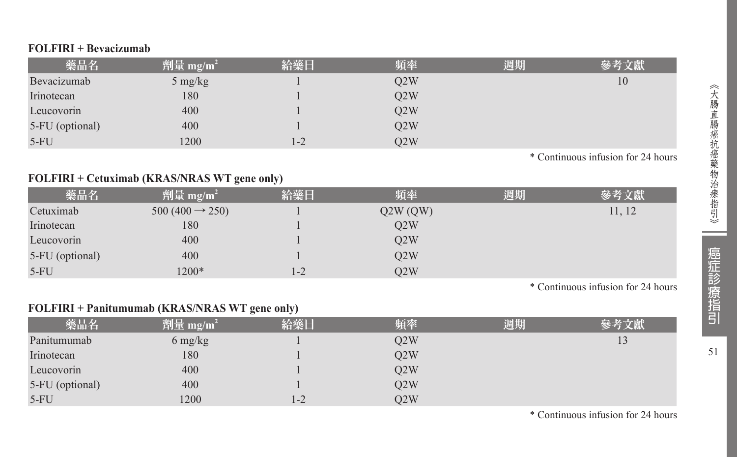#### **FOLFIRI + Bevacizumab**

| 藥品名             | 劑量 mg/m <sup>2</sup> | 給藥日 | 頻率  | 週期 | 參考文獻 |
|-----------------|----------------------|-----|-----|----|------|
| Bevacizumab     | $5 \text{ mg/kg}$    |     | O2W |    | 10   |
| Irinotecan      | 180                  |     | O2W |    |      |
| Leucovorin      | 400                  |     | Q2W |    |      |
| 5-FU (optional) | 400                  |     | O2W |    |      |
| $5-FU$          | 1200                 | 1-2 | O2W |    |      |

\* Continuous infusion for 24 hours

#### **FOLFIRI + Cetuximab (KRAS/NRAS WT gene only)**

| 藥品名             | 劑量 mg/m <sup>2</sup>       | 給藥日     | 頻率      | 週期 | 參考文獻   |
|-----------------|----------------------------|---------|---------|----|--------|
| Cetuximab       | $500(400 \rightarrow 250)$ |         | Q2W(QW) |    | 11, 12 |
| Irinotecan      | 180                        |         | O2W     |    |        |
| Leucovorin      | 400                        |         | O2W     |    |        |
| 5-FU (optional) | 400                        |         | O2W     |    |        |
| $5-FU$          | 1200*                      | $1 - 2$ | O2W     |    |        |

\* Continuous infusion for 24 hours

#### **FOLFIRI + Panitumumab (KRAS/NRAS WT gene only)**

| 藥品名             | $^{\prime}$ 劑量 mg/m <sup>2</sup> | 給藥日   | 頻率  | 週期 | 參考文獻 |
|-----------------|----------------------------------|-------|-----|----|------|
| Panitumumab     | $6 \frac{\text{mg}}{\text{kg}}$  |       | Q2W |    | 13   |
| Irinotecan      | 180                              |       | Q2W |    |      |
| Leucovorin      | 400                              |       | Q2W |    |      |
| 5-FU (optional) | 400                              |       | O2W |    |      |
| $5-FU$          | 1200                             | $1-2$ | O2W |    |      |

\* Continuous infusion for 24 hours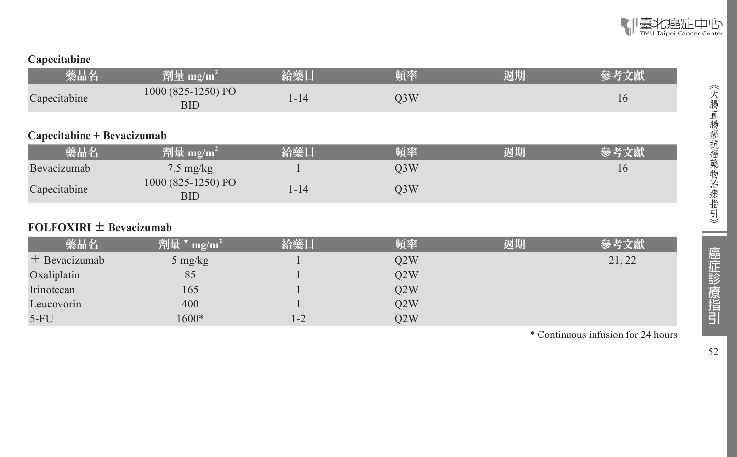

#### **Capecitabine**

| 藥品名                         | 劑量 mg/m <sup>2</sup>             | 給藥日      | 頻率               | 週期 | 參考文獻 |
|-----------------------------|----------------------------------|----------|------------------|----|------|
| Capecitabine                | 1000 (825-1250) PO<br><b>BID</b> | $1 - 14$ | O <sub>3</sub> W |    | 16   |
| Capecitabine + Bevacizumab  |                                  |          |                  |    |      |
| 藥品名                         | $\frac{m}{2}$ mg/m <sup>2</sup>  | 給藥日      | 頻率               | 週期 | 參考文獻 |
| Bevacizumab                 | $7.5 \text{ mg/kg}$              |          | Q <sub>3</sub> W |    | 16   |
| Capecitabine                | 1000 (825-1250) PO<br><b>BID</b> | $1 - 14$ | O <sub>3</sub> W |    |      |
| $FOLFOXIRI \pm Bevacizumab$ |                                  |          |                  |    |      |

| 藥品名               | / 劑量 */<br>$mg/m^2$ | 給藥日     | 頻率  | 週期 | 參考文獻   |
|-------------------|---------------------|---------|-----|----|--------|
| $\pm$ Bevacizumab | $5 \text{ mg/kg}$   |         | O2W |    | 21, 22 |
| Oxaliplatin       | 85                  |         | Q2W |    |        |
| Irinotecan        | 165                 |         | O2W |    |        |
| Leucovorin        | 400                 |         | Q2W |    |        |
| $5-FU$            | $1600*$             | $1 - 2$ | O2W |    |        |

\* Continuous infusion for 24 hours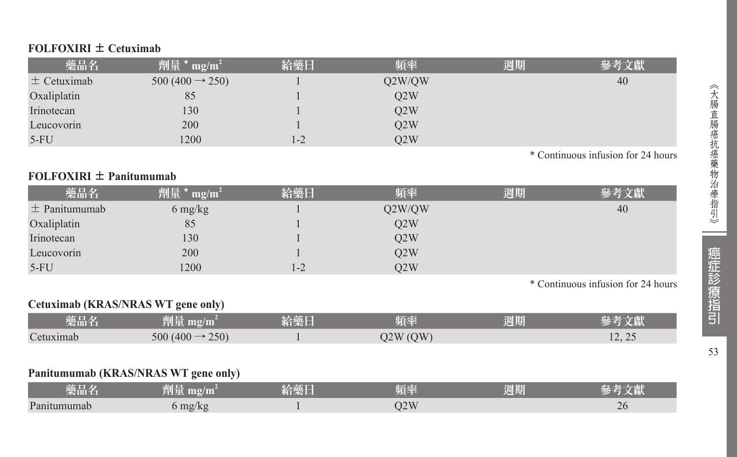#### **FOLFOXIRI** ± **Cetuximab**

| 藥品名             | 劑量 $*$ mg/m <sup>2</sup>    | 給藥日     | 頻率     | 週期 | 參考文獻 |
|-----------------|-----------------------------|---------|--------|----|------|
| $\pm$ Cetuximab | $500 (400 \rightarrow 250)$ |         | Q2W/QW |    | 40   |
| Oxaliplatin     | 85                          |         | O2W    |    |      |
| Irinotecan      | 130                         |         | O2W    |    |      |
| Leucovorin      | 200                         |         | O2W    |    |      |
| $5-FU$          | 1200                        | $1 - 2$ | O2W    |    |      |

\* Continuous infusion for 24 hours

#### **FOLFOXIRI** ± **Panitumumab**

| 藥品名               | 劑量*<br>$mg/m^2$                 | 給藥日 | 頻率     | 週期 | 參考文獻 |
|-------------------|---------------------------------|-----|--------|----|------|
| $\pm$ Panitumumab | $6 \frac{\text{mg}}{\text{kg}}$ |     | Q2W/QW |    | 40   |
| Oxaliplatin       | 85                              |     | O2W    |    |      |
| Irinotecan        | 130                             |     | O2W    |    |      |
| Leucovorin        | 200                             |     | O2W    |    |      |
| $5-FU$            | 1200                            | 1-2 | O2W    |    |      |

\* Continuous infusion for 24 hours

#### **Cetuximab (KRAS/NRAS WT gene only)**

| 藥品名       | 简量 mg/m2                         | 給藥日 | 陌座      | 週期 |                                                             |
|-----------|----------------------------------|-----|---------|----|-------------------------------------------------------------|
| Cetuximab | $-250$<br>500 (400 $\rightarrow$ |     | 02W(OW) |    | $\bigcap$<br>$1 \overline{2}$ , $\overline{2} \overline{2}$ |

#### **Panitumumab (KRAS/NRAS WT gene only)**

| $AB = H$<br>樂品名 | $m\Omega/m$<br>1941 | <b>COLLEGE TO AN</b><br><b>CONTRACTOR</b> | . .<br><b>ALLES</b>          | 週期 | こぼり |
|-----------------|---------------------|-------------------------------------------|------------------------------|----|-----|
| Panitumumab     | mg/kg               |                                           | $\overline{\Omega}$<br>JZ VV |    | 20  |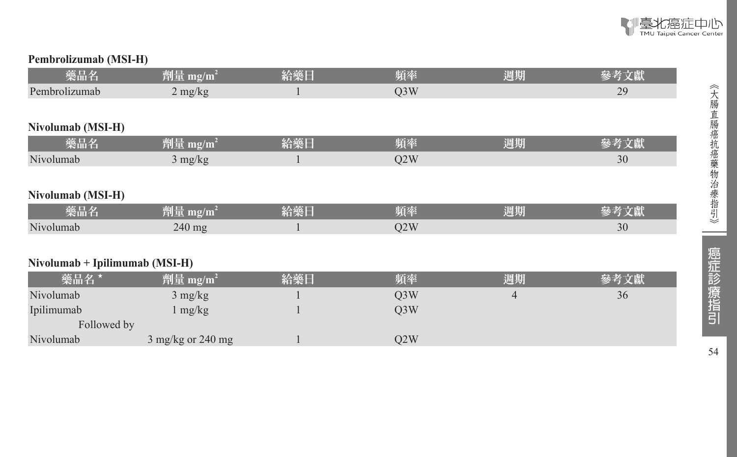

#### **Pembrolizumab (MSI-H)**

| 藥品名                            | 劑量 mg/m <sup>2</sup>        | 給藥日 | 頻率               | 週期             | 參考文獻 |
|--------------------------------|-----------------------------|-----|------------------|----------------|------|
| Pembrolizumab                  | $2 \text{ mg/kg}$           |     | Q <sub>3</sub> W |                | 29   |
|                                |                             |     |                  |                |      |
| Nivolumab (MSI-H)              |                             |     |                  |                |      |
| 藥品名                            | 劑量 mg/m <sup>2</sup>        | 給藥日 | 頻率               | 週期             | 參考文獻 |
| Nivolumab                      | $3$ mg/kg                   |     | Q2W              |                | 30   |
|                                |                             |     |                  |                |      |
| Nivolumab (MSI-H)              |                             |     |                  |                |      |
| 藥品名                            | 劑量 mg/m <sup>2</sup>        | 給藥日 | 頻率               | 週期             | 參考文獻 |
| Nivolumab                      | $240$ mg                    |     | Q2W              |                | 30   |
|                                |                             |     |                  |                |      |
| Nivolumab + Ipilimumab (MSI-H) |                             |     |                  |                |      |
| 藥品名 *                          | 劑量 mg/m <sup>2</sup>        | 給藥日 | 頻率               | 週期             | 參考文獻 |
| Nivolumab                      | $3 \text{ mg/kg}$           |     | Q <sub>3</sub> W | $\overline{4}$ | 36   |
| Ipilimumab                     | $1 \text{ mg/kg}$           |     | Q <sub>3</sub> W |                |      |
| Followed by                    |                             |     |                  |                |      |
| Nivolumab                      | $3 \text{ mg/kg}$ or 240 mg |     | Q2W              |                |      |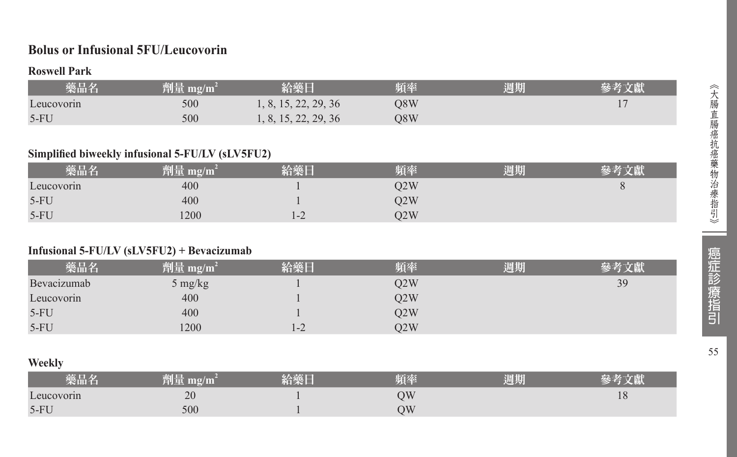#### **Bolus or Infusional 5FU/Leucovorin**

#### **Roswell Park**

| 藥品名        | 劑量 mg/m | 給藥日                  | 頻率  | 週期 |  |
|------------|---------|----------------------|-----|----|--|
| Leucovorin | 500     | 1, 8, 15, 22, 29, 36 | O8W |    |  |
| $5-FU$     | 500     | 1, 8, 15, 22, 29, 36 | O8W |    |  |

#### **Simplified biweekly infusional 5-FU/LV (sLV5FU2)**

| 藥品名        | èi E<br>mg/m<br>TIER |         | 頃率  | 周期 | 男人 |
|------------|----------------------|---------|-----|----|----|
| Leucovorin | 400                  |         | Q2W |    |    |
| $5-FU$     | 400                  |         | 22W |    |    |
| $5-FU$     | 1200                 | $1 - 2$ | D2W |    |    |

#### **Infusional 5-FU/LV (sLV5FU2) + Bevacizumab**

| 藥品名         | 劑量 mg/m $^{\rm 2}$ | 給藥日     | 頃率  | 周期 |    |
|-------------|--------------------|---------|-----|----|----|
| Bevacizumab | 5 mg/kg            |         | Q2W |    | 39 |
| Leucovorin  | 400                |         | O2W |    |    |
| $5-FU$      | 400                |         | Q2W |    |    |
| $5-FU$      | 1200               | $1 - 2$ | O2W |    |    |

#### **Weekly**

| 柴面石        | ≌๚  | 拓萃 | <b>September</b><br>週期 |    |
|------------|-----|----|------------------------|----|
| Leucovorin | 20  | УC |                        | 10 |
| $5-FU$     | 500 | УC |                        |    |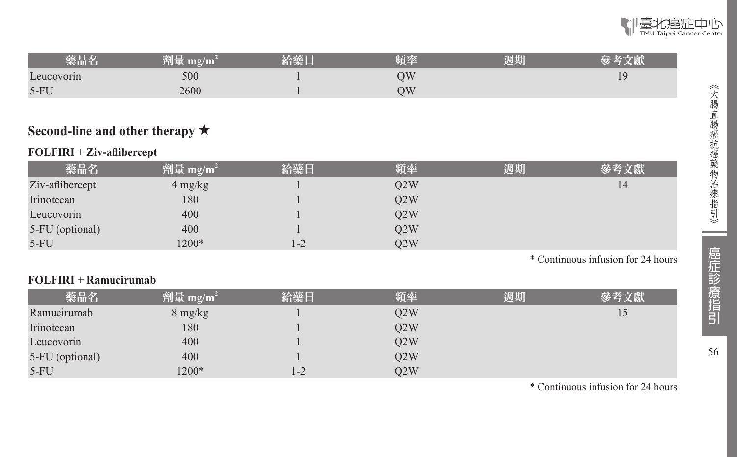| 藥品名        | 771 L.<br>$m\Omega/m$<br>¥U. | "销樂日 | 頻率 | 周期 | く劇  |
|------------|------------------------------|------|----|----|-----|
| Leucovorin | 500                          |      | ОW |    | 1 C |
| $5-FU$     | 2600                         |      | ОW |    |     |
|            |                              |      |    |    |     |

#### **Second-line and other therapy** ★

#### **FOLFIRI + Ziv-aflibercept**

| 藥品名             | 劑量 mg/m <sup>2</sup> | 給藥日     | 頻率  | 週期 | 參考文獻 |
|-----------------|----------------------|---------|-----|----|------|
| Ziv-aflibercept | $4 \text{ mg/kg}$    |         | Q2W |    | 14   |
| Irinotecan      | 180                  |         | O2W |    |      |
| Leucovorin      | 400                  |         | O2W |    |      |
| 5-FU (optional) | 400                  |         | O2W |    |      |
| $5-FU$          | $1200*$              | $1 - 2$ | O2W |    |      |

\* Continuous infusion for 24 hours

#### **FOLFIRI + Ramucirumab**

| 藥品名             | <b>劑量 mg/m<sup>2</sup></b> | 給藥日  | 頻率  | 週期 | 參考文獻 |
|-----------------|----------------------------|------|-----|----|------|
| Ramucirumab     | $8 \text{ mg/kg}$          |      | O2W |    | 15   |
| Irinotecan      | 180                        |      | O2W |    |      |
| Leucovorin      | 400                        |      | O2W |    |      |
| 5-FU (optional) | 400                        |      | Q2W |    |      |
| $5-FU$          | 1200*                      | $-2$ | O2W |    |      |

\* Continuous infusion for 24 hours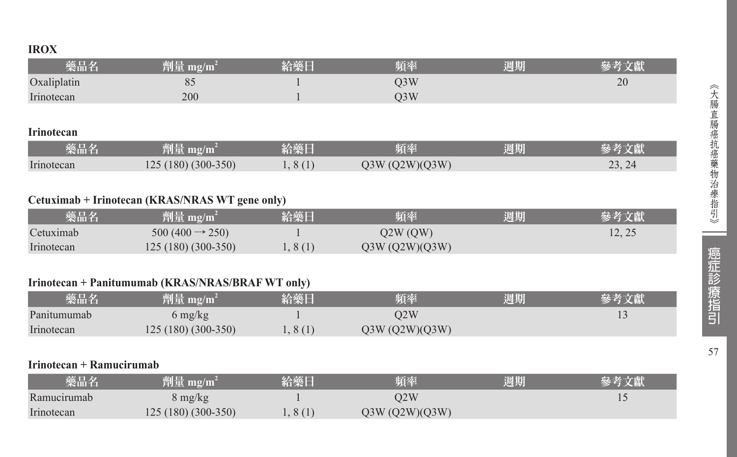#### **IROX**

| 藥品名               | 劑量 mg/m <sup>2</sup> | 給藥日     | 頻率               | 週期 | 參考文獻   |
|-------------------|----------------------|---------|------------------|----|--------|
| Oxaliplatin       | 85                   |         | Q <sub>3</sub> W |    | 20     |
| Irinotecan        | 200                  |         | O <sub>3</sub> W |    |        |
|                   |                      |         |                  |    |        |
| <b>Irinotecan</b> |                      |         |                  |    |        |
| 藥品名               | 劑量 mg/m <sup>2</sup> | 給藥日     | 頻率               | 週期 | 參考文獻   |
| Irinotecan        | $125(180)(300-350)$  | 1, 8(1) | Q3W (Q2W)(Q3W)   |    | 23, 24 |

#### **Cetuximab + Irinotecan (KRAS/NRAS WT gene only)**

| 藥品名        | 劑量 mg/m <sup>2</sup>       | 給藥日   | 頻率             | 週期 | 參考文獻  |
|------------|----------------------------|-------|----------------|----|-------|
| Cetuximab  | $500(400 \rightarrow 250)$ |       | O2W (OW)       |    | 12.25 |
| Irinotecan | $125(180)(300-350)$        | .8(1) | O3W (O2W)(O3W) |    |       |

#### **Irinotecan + Panitumumab (KRAS/NRAS/BRAF WT only)**

| 藥品名         | 劗量 mg/m                         | 給藥日     | 頻率             | 週期 |  |
|-------------|---------------------------------|---------|----------------|----|--|
| Panitumumab | $6 \frac{\text{mg}}{\text{kg}}$ |         | O2W            |    |  |
| Irinotecan  | $125(180)(300-350)$             | 1, 8(1) | Q3W (Q2W)(Q3W) |    |  |

#### **Irinotecan + Ramucirumab**

| 藥品名         | 劑量 mg/m $^2$        | 給藥日    | 頻率             | 週期 |  |
|-------------|---------------------|--------|----------------|----|--|
| Ramucirumab | 8 mg/kg             |        | D2W            |    |  |
| Irinotecan  | $125(180)(300-350)$ | 1,8(1) | Q3W (Q2W)(Q3W) |    |  |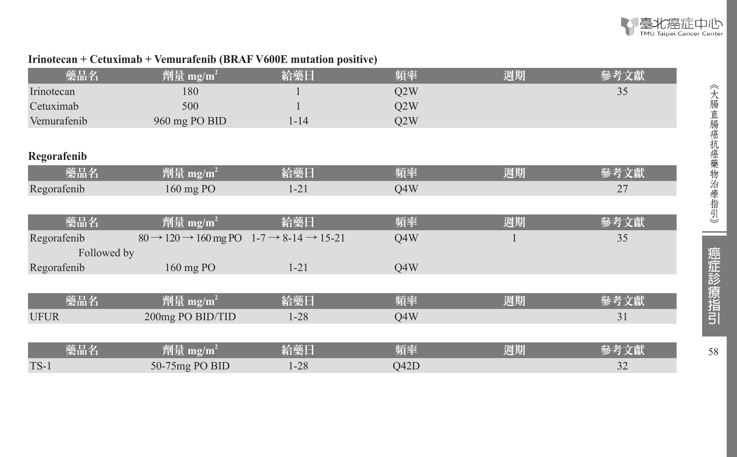

#### **Irinotecan + Cetuximab + Vemurafenib (BRAF V600E mutation positive)**

| 藥品名         | 劑量 mg/m <sup>2</sup>                                                                | 給藥日      | 頻率               | 週期 | 參考文獻 |
|-------------|-------------------------------------------------------------------------------------|----------|------------------|----|------|
| Irinotecan  | 180                                                                                 |          | Q2W              |    | 35   |
| Cetuximab   | 500                                                                                 |          | Q2W              |    |      |
| Vemurafenib | 960 mg PO BID                                                                       | $1 - 14$ | Q <sub>2</sub> W |    |      |
|             |                                                                                     |          |                  |    |      |
| Regorafenib |                                                                                     |          |                  |    |      |
| 藥品名         | 劑量 mg/m <sup>2</sup>                                                                | 給藥日      | 頻率               | 週期 | 參考文獻 |
| Regorafenib | 160 mg PO                                                                           | $1 - 21$ | Q4W              |    | 27   |
|             |                                                                                     |          |                  |    |      |
| 藥品名         | 劑量 mg/m <sup>2</sup>                                                                | 給藥日      | 頻率               | 週期 | 參考文獻 |
| Regorafenib | $80 \rightarrow 120 \rightarrow 160$ mg PO $1-7 \rightarrow 8-14 \rightarrow 15-21$ |          | Q4W              |    | 35   |
| Followed by |                                                                                     |          |                  |    |      |
| Regorafenib | 160 mg PO                                                                           | $1 - 21$ | Q4W              |    |      |
|             |                                                                                     |          |                  |    |      |
| 藥品名         | 劑量 mg/m <sup>2</sup>                                                                | 給藥日      | 頻率               | 週期 | 參考文獻 |
| <b>UFUR</b> | 200mg PO BID/TID                                                                    | $1 - 28$ | Q4W              |    | 31   |
|             |                                                                                     |          |                  |    |      |
| 藥品名         | 劑量 mg/m <sup>2</sup>                                                                | 給藥日      | 頻率               | 週期 | 參考文獻 |
| $TS-1$      | 50-75mg PO BID                                                                      | $1 - 28$ | Q42D             |    | 32   |

--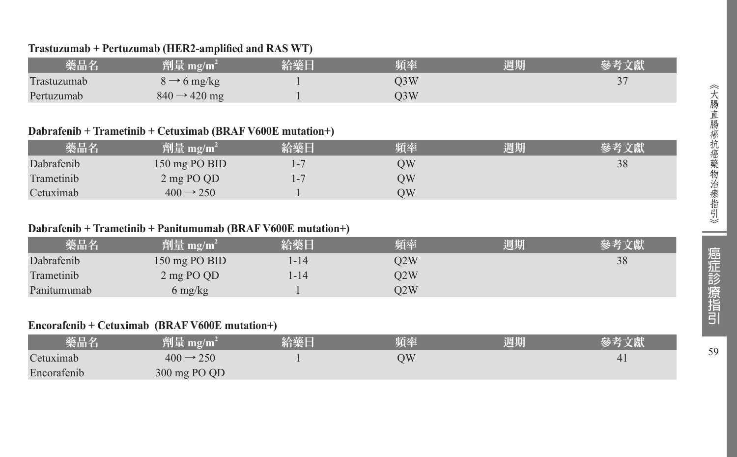#### **Trastuzumab + Pertuzumab (HER2-amplified and RAS WT)**

| 藥品名         | 劑量 mg/m $^2$                            | 給藥日 | 頻率  | 週期 |  |
|-------------|-----------------------------------------|-----|-----|----|--|
| Trastuzumab | $\sim 6 \text{ mg/kg}$<br>$\rightarrow$ |     | )3W |    |  |
| Pertuzumab  | $840 \rightarrow 420$ mg                |     | D3W |    |  |

#### **Dabrafenib + Trametinib + Cetuximab (BRAF V600E mutation+)**

| 藥品名        | 劑量 mg/m <sup>2</sup>  | 給藥日     | 頻率 | 週期 | 參考文獻 |
|------------|-----------------------|---------|----|----|------|
| Dabrafenib | 150 mg PO BID         | $1 - 7$ | ЭW |    | 38   |
| Trametinib | 2 mg PO QD            | $1 - 7$ | ЭW |    |      |
| Cetuximab  | $400 \rightarrow 250$ |         | ЭW |    |      |

#### **Dabrafenib + Trametinib + Panitumumab (BRAF V600E mutation+)**

| 藥品名         | 劑量 mg/m <sup>2</sup> | 給藥日    | 頻率  | 週期 | 參考文獻 |
|-------------|----------------------|--------|-----|----|------|
| Dabrafenib  | 150 mg PO BID        | l - 14 | O2W |    | 38   |
| Trametinib  | 2 mg PO QD           | l-14   | O2W |    |      |
| Panitumumab | 6 mg/kg              |        | O2W |    |      |

#### **Encorafenib + Cetuximab (BRAF V600E mutation+)**

| 藥品名         | $^{\prime}$ 劑量 mg/m <sup>2</sup> | 給藥日 | 頻率 | 週期 | 參考文獻 |
|-------------|----------------------------------|-----|----|----|------|
| Cetuximab   | $400 \rightarrow 250$            |     | ΟW |    | 4    |
| Encorafenib | 300 mg PO QD                     |     |    |    |      |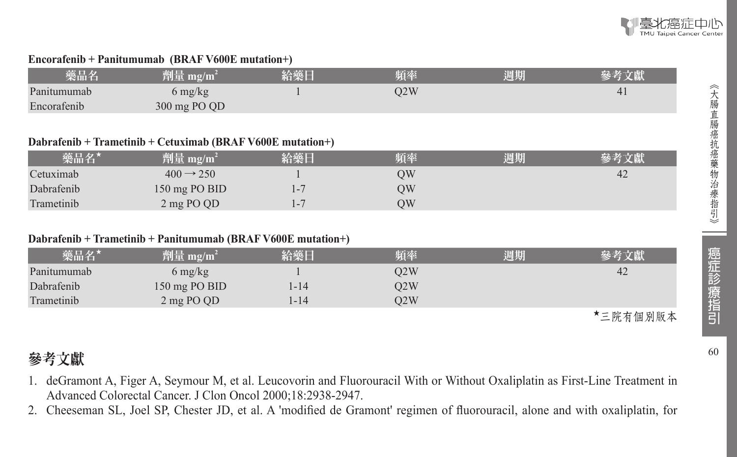

#### **Encorafenib + Panitumumab (BRAF V600E mutation+)**

| 藥品名         | 劑量 mg/m <sup>i</sup>    | 給藥日 | 頻率  | 週期 | 參考文獻 |
|-------------|-------------------------|-----|-----|----|------|
| Panitumumab | 6 mg/kg                 |     | O2W |    | 41   |
| Encorafenib | $300 \text{ mg }$ PO QD |     |     |    |      |

#### **Dabrafenib + Trametinib + Cetuximab (BRAF V600E mutation+)**

| 藥品名*       | 劑量 mg/m <sup>2</sup>  | 給藥日 | 頻率 | 週期 | 參考文獻 |
|------------|-----------------------|-----|----|----|------|
| Cetuximab  | $400 \rightarrow 250$ |     | OW |    | 42   |
| Dabrafenib | 150 mg $PO BID$       |     | OW |    |      |
| Trametinib | 2 mg PO QD            |     | OW |    |      |

#### **Dabrafenib + Trametinib + Panitumumab (BRAF V600E mutation+)**

| 藥品名*        | 劑量 mg/m $^2$  | 給藥日  | 頻率  | 週期 | 參考文獻 |
|-------------|---------------|------|-----|----|------|
| Panitumumab | 6 mg/kg       |      | O2W |    | 42   |
| Dabrafenib  | 150 mg PO BID | 1-14 | O2W |    |      |
| Trametinib  | 2 mg PO QD    | 1-14 | O2W |    |      |

★三院有個別版本

癌症診療指引

《大腸直腸癌抗癌藥物治療指引》

### 參考文獻

- 1. deGramont A, Figer A, Seymour M, et al. Leucovorin and Fluorouracil With or Without Oxaliplatin as First-Line Treatment in Advanced Colorectal Cancer. J Clon Oncol 2000;18:2938-2947.
- 2. Cheeseman SL, Joel SP, Chester JD, et al. A 'modified de Gramont' regimen of fluorouracil, alone and with oxaliplatin, for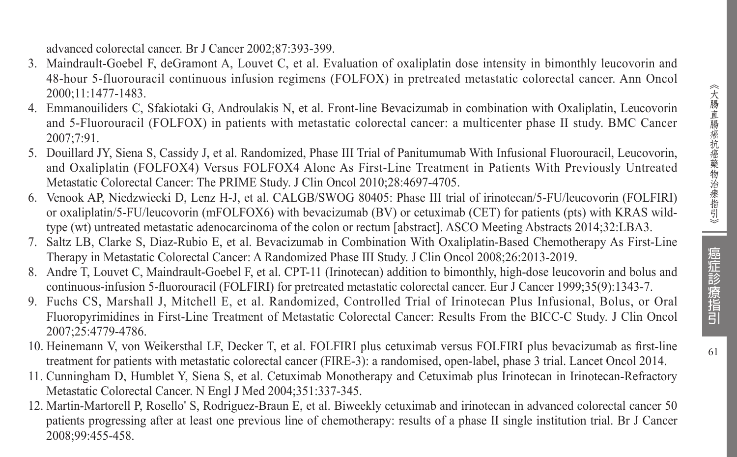advanced colorectal cancer. Br J Cancer 2002;87:393-399.

- 3. Maindrault-Goebel F, deGramont A, Louvet C, et al. Evaluation of oxaliplatin dose intensity in bimonthly leucovorin and 48-hour 5-fluorouracil continuous infusion regimens (FOLFOX) in pretreated metastatic colorectal cancer. Ann Oncol 2000;11:1477-1483.
- 4. Emmanouiliders C, Sfakiotaki G, Androulakis N, et al. Front-line Bevacizumab in combination with Oxaliplatin, Leucovorin and 5-Fluorouracil (FOLFOX) in patients with metastatic colorectal cancer: a multicenter phase II study. BMC Cancer 2007;7:91.
- 5. Douillard JY, Siena S, Cassidy J, et al. Randomized, Phase III Trial of Panitumumab With Infusional Fluorouracil, Leucovorin, and Oxaliplatin (FOLFOX4) Versus FOLFOX4 Alone As First-Line Treatment in Patients With Previously Untreated Metastatic Colorectal Cancer: The PRIME Study. J Clin Oncol 2010;28:4697-4705.
- Venook AP, Niedzwiecki D, Lenz H-J, et al. CALGB/SWOG 80405: Phase III trial of irinotecan/5-FU/leucovorin (FOLFIRI) or oxaliplatin/5-FU/leucovorin (mFOLFOX6) with bevacizumab (BV) or cetuximab (CET) for patients (pts) with KRAS wildtype (wt) untreated metastatic adenocarcinoma of the colon or rectum [abstract]. ASCO Meeting Abstracts 2014;32:LBA3.
- 7. Saltz LB, Clarke S, Diaz-Rubio E, et al. Bevacizumab in Combination With Oxaliplatin-Based Chemotherapy As First-Line Therapy in Metastatic Colorectal Cancer: A Randomized Phase III Study. J Clin Oncol 2008;26:2013-2019.
- 8. Andre T, Louvet C, Maindrault-Goebel F, et al. CPT-11 (Irinotecan) addition to bimonthly, high-dose leucovorin and bolus and continuous-infusion 5-fluorouracil (FOLFIRI) for pretreated metastatic colorectal cancer. Eur J Cancer 1999;35(9):1343-7.
- 9. Fuchs CS, Marshall J, Mitchell E, et al. Randomized, Controlled Trial of Irinotecan Plus Infusional, Bolus, or Oral Fluoropyrimidines in First-Line Treatment of Metastatic Colorectal Cancer: Results From the BICC-C Study. J Clin Oncol 2007;25:4779-4786.
- 10. Heinemann V, von Weikersthal LF, Decker T, et al. FOLFIRI plus cetuximab versus FOLFIRI plus bevacizumab as first-line treatment for patients with metastatic colorectal cancer (FIRE-3): a randomised, open-label, phase 3 trial. Lancet Oncol 2014.
- 11. Cunningham D, Humblet Y, Siena S, et al. Cetuximab Monotherapy and Cetuximab plus Irinotecan in Irinotecan-Refractory Metastatic Colorectal Cancer. N Engl J Med 2004;351:337-345.
- 12. Martin-Martorell P, Rosello' S, Rodriguez-Braun E, et al. Biweekly cetuximab and irinotecan in advanced colorectal cancer 50 patients progressing after at least one previous line of chemotherapy: results of a phase II single institution trial. Br J Cancer 2008;99:455-458.

癌症診療指引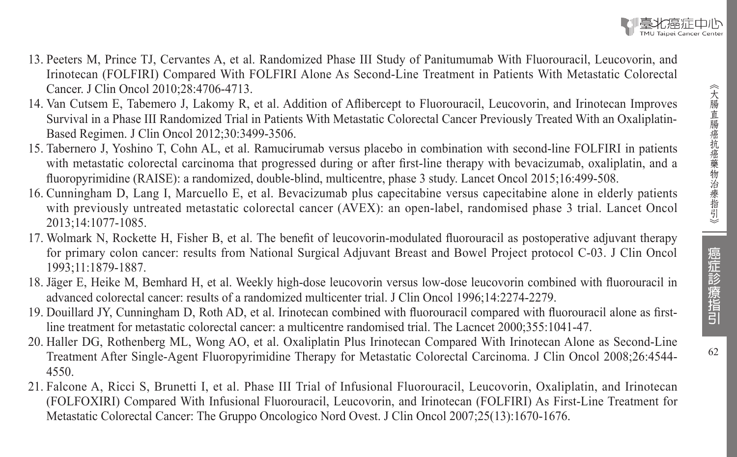

- 13. Peeters M, Prince TJ, Cervantes A, et al. Randomized Phase III Study of Panitumumab With Fluorouracil, Leucovorin, and Irinotecan (FOLFIRI) Compared With FOLFIRI Alone As Second-Line Treatment in Patients With Metastatic Colorectal Cancer. J Clin Oncol 2010;28:4706-4713.
- 14. Van Cutsem E, Tabemero J, Lakomy R, et al. Addition of Aflibercept to Fluorouracil, Leucovorin, and Irinotecan Improves Survival in a Phase III Randomized Trial in Patients With Metastatic Colorectal Cancer Previously Treated With an Oxaliplatin-Based Regimen. J Clin Oncol 2012;30:3499-3506.
- 15. Tabernero J, Yoshino T, Cohn AL, et al. Ramucirumab versus placebo in combination with second-line FOLFIRI in patients with metastatic colorectal carcinoma that progressed during or after first-line therapy with bevacizumab, oxaliplatin, and a fluoropyrimidine (RAISE): a randomized, double-blind, multicentre, phase 3 study. Lancet Oncol 2015;16:499-508.
- 16. Cunningham D, Lang I, Marcuello E, et al. Bevacizumab plus capecitabine versus capecitabine alone in elderly patients with previously untreated metastatic colorectal cancer (AVEX): an open-label, randomised phase 3 trial. Lancet Oncol 2013;14:1077-1085.
- 17. Wolmark N, Rockette H, Fisher B, et al. The benefit of leucovorin-modulated fluorouracil as postoperative adjuvant therapy for primary colon cancer: results from National Surgical Adjuvant Breast and Bowel Project protocol C-03. J Clin Oncol 1993;11:1879-1887.
- 18. Jäger E, Heike M, Bemhard H, et al. Weekly high-dose leucovorin versus low-dose leucovorin combined with fluorouracil in advanced colorectal cancer: results of a randomized multicenter trial. J Clin Oncol 1996;14:2274-2279.
- 19. Douillard JY, Cunningham D, Roth AD, et al. Irinotecan combined with fluorouracil compared with fluorouracil alone as firstline treatment for metastatic colorectal cancer: a multicentre randomised trial. The Lacncet 2000;355:1041-47.
- 20. Haller DG, Rothenberg ML, Wong AO, et al. Oxaliplatin Plus Irinotecan Compared With Irinotecan Alone as Second-Line Treatment After Single-Agent Fluoropyrimidine Therapy for Metastatic Colorectal Carcinoma. J Clin Oncol 2008;26:4544- 4550.
- 21. Falcone A, Ricci S, Brunetti I, et al. Phase III Trial of Infusional Fluorouracil, Leucovorin, Oxaliplatin, and Irinotecan (FOLFOXIRI) Compared With Infusional Fluorouracil, Leucovorin, and Irinotecan (FOLFIRI) As First-Line Treatment for Metastatic Colorectal Cancer: The Gruppo Oncologico Nord Ovest. J Clin Oncol 2007;25(13):1670-1676.

癌症診療指引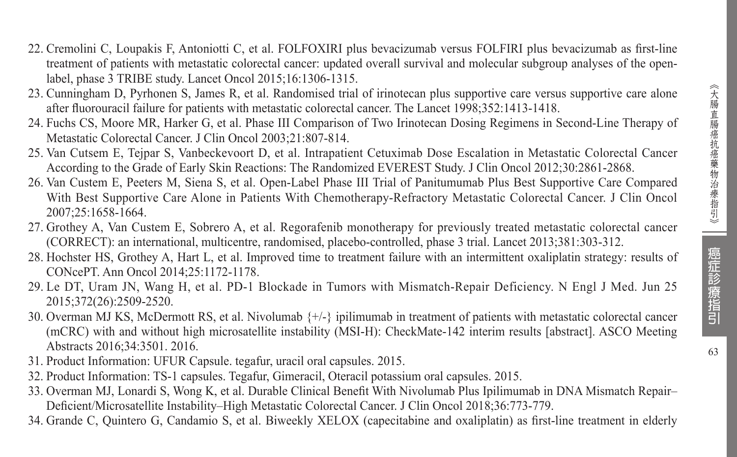- 22. Cremolini C, Loupakis F, Antoniotti C, et al. FOLFOXIRI plus bevacizumab versus FOLFIRI plus bevacizumab as first-line treatment of patients with metastatic colorectal cancer: updated overall survival and molecular subgroup analyses of the openlabel, phase 3 TRIBE study. Lancet Oncol 2015;16:1306-1315.
- 23. Cunningham D, Pyrhonen S, James R, et al. Randomised trial of irinotecan plus supportive care versus supportive care alone after fluorouracil failure for patients with metastatic colorectal cancer. The Lancet 1998;352:1413-1418.
- 24. Fuchs CS, Moore MR, Harker G, et al. Phase III Comparison of Two Irinotecan Dosing Regimens in Second-Line Therapy of Metastatic Colorectal Cancer. J Clin Oncol 2003;21:807-814.
- 25. Van Cutsem E, Tejpar S, Vanbeckevoort D, et al. Intrapatient Cetuximab Dose Escalation in Metastatic Colorectal Cancer According to the Grade of Early Skin Reactions: The Randomized EVEREST Study. J Clin Oncol 2012;30:2861-2868.
- 26. Van Custem E, Peeters M, Siena S, et al. Open-Label Phase III Trial of Panitumumab Plus Best Supportive Care Compared With Best Supportive Care Alone in Patients With Chemotherapy-Refractory Metastatic Colorectal Cancer. J Clin Oncol 2007;25:1658-1664.
- 27. Grothey A, Van Custem E, Sobrero A, et al. Regorafenib monotherapy for previously treated metastatic colorectal cancer (CORRECT): an international, multicentre, randomised, placebo-controlled, phase 3 trial. Lancet 2013;381:303-312.
- 28. Hochster HS, Grothey A, Hart L, et al. Improved time to treatment failure with an intermittent oxaliplatin strategy: results of CONcePT. Ann Oncol 2014;25:1172-1178.
- 29. Le DT, Uram JN, Wang H, et al. PD-1 Blockade in Tumors with Mismatch-Repair Deficiency. N Engl J Med. Jun 25 2015;372(26):2509-2520.
- 30. Overman MJ KS, McDermott RS, et al. Nivolumab {+/-} ipilimumab in treatment of patients with metastatic colorectal cancer (mCRC) with and without high microsatellite instability (MSI-H): CheckMate-142 interim results [abstract]. ASCO Meeting Abstracts 2016;34:3501. 2016.
- 31. Product Information: UFUR Capsule. tegafur, uracil oral capsules. 2015.
- 32. Product Information: TS-1 capsules. Tegafur, Gimeracil, Oteracil potassium oral capsules. 2015.
- 33. Overman MJ, Lonardi S, Wong K, et al. Durable Clinical Benefit With Nivolumab Plus Ipilimumab in DNA Mismatch Repair– Deficient/Microsatellite Instability–High Metastatic Colorectal Cancer. J Clin Oncol 2018;36:773-779.
- 34. Grande C, Quintero G, Candamio S, et al. Biweekly XELOX (capecitabine and oxaliplatin) as first-line treatment in elderly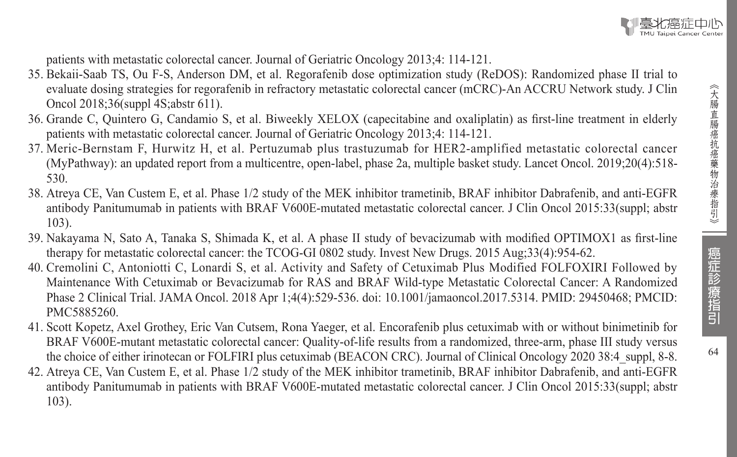patients with metastatic colorectal cancer. Journal of Geriatric Oncology 2013;4: 114-121.

- 35. Bekaii-Saab TS, Ou F-S, Anderson DM, et al. Regorafenib dose optimization study (ReDOS): Randomized phase II trial to evaluate dosing strategies for regorafenib in refractory metastatic colorectal cancer (mCRC)-An ACCRU Network study. J Clin Oncol 2018;36(suppl 4S;abstr 611).
- 36. Grande C, Quintero G, Candamio S, et al. Biweekly XELOX (capecitabine and oxaliplatin) as first-line treatment in elderly patients with metastatic colorectal cancer. Journal of Geriatric Oncology 2013;4: 114-121.
- 37. Meric-Bernstam F, Hurwitz H, et al. Pertuzumab plus trastuzumab for HER2-amplified metastatic colorectal cancer (MyPathway): an updated report from a multicentre, open-label, phase 2a, multiple basket study. Lancet Oncol. 2019;20(4):518- 530.
- 38. Atreya CE, Van Custem E, et al. Phase 1/2 study of the MEK inhibitor trametinib, BRAF inhibitor Dabrafenib, and anti-EGFR antibody Panitumumab in patients with BRAF V600E-mutated metastatic colorectal cancer. J Clin Oncol 2015:33(suppl; abstr 103).
- 39. Nakayama N, Sato A, Tanaka S, Shimada K, et al. A phase II study of bevacizumab with modified OPTIMOX1 as first-line therapy for metastatic colorectal cancer: the TCOG-GI 0802 study. Invest New Drugs. 2015 Aug;33(4):954-62.
- 40. Cremolini C, Antoniotti C, Lonardi S, et al. Activity and Safety of Cetuximab Plus Modified FOLFOXIRI Followed by Maintenance With Cetuximab or Bevacizumab for RAS and BRAF Wild-type Metastatic Colorectal Cancer: A Randomized Phase 2 Clinical Trial. JAMA Oncol. 2018 Apr 1;4(4):529-536. doi: 10.1001/jamaoncol.2017.5314. PMID: 29450468; PMCID: PMC5885260.
- 41. Scott Kopetz, Axel Grothey, Eric Van Cutsem, Rona Yaeger, et al. Encorafenib plus cetuximab with or without binimetinib for BRAF V600E-mutant metastatic colorectal cancer: Quality-of-life results from a randomized, three-arm, phase III study versus the choice of either irinotecan or FOLFIRI plus cetuximab (BEACON CRC). Journal of Clinical Oncology 2020 38:4 suppl, 8-8.
- 42. Atreya CE, Van Custem E, et al. Phase 1/2 study of the MEK inhibitor trametinib, BRAF inhibitor Dabrafenib, and anti-EGFR antibody Panitumumab in patients with BRAF V600E-mutated metastatic colorectal cancer. J Clin Oncol 2015:33(suppl; abstr 103).

癌症診療指引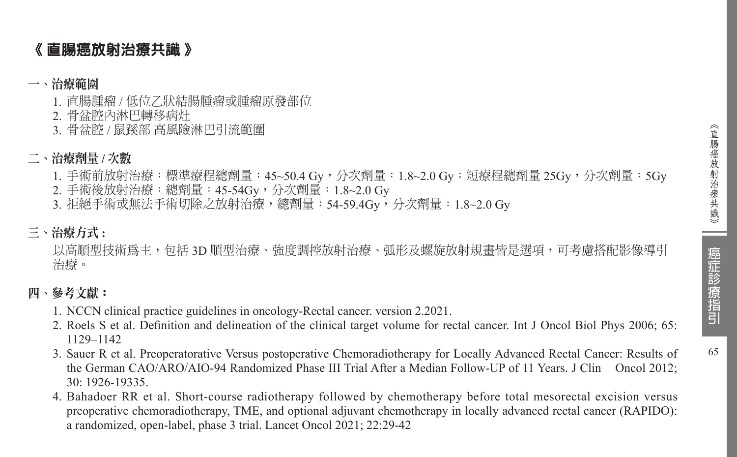65

### 《 直腸癌放射治療共識 》

#### 一、治療範圍

- 1. 直腸腫瘤 / 低位乙狀結腸腫瘤或腫瘤原發部位
- 2. 骨盆腔內淋巴轉移病灶
- 3. 骨盆腔 / 鼠蹊部 高風險淋巴引流範圍

#### 二、治療劑量 **/** 次數

- 1. 手術前放射治療:標準療程總劑量: 45~50.4 Gy,分次劑量: 1.8~2.0 Gy;短療程總劑量 25Gy,分次劑量: 5Gy
- 2. 手術後放射治療:總劑量:45-54Gy,分次劑量:1.8~2.0 Gy
- 3. 拒絕手術或無法手術切除之放射治療, 總劑量: 54-59.4Gv, 分次劑量: 1.8~2.0 Gv

#### 三、治療方式 **:**

以高順型技術為主,包括 3D 順型治療、強度調控放射治療、弧形及螺旋放射規書皆是選項,可考慮搭配影像導引 治療。

#### 四、參考文獻:

- 1. NCCN clinical practice guidelines in oncology-Rectal cancer. version 2.2021.
- 2. Roels S et al. Definition and delineation of the clinical target volume for rectal cancer. Int J Oncol Biol Phys 2006; 65: 1129–1142
- 3. Sauer R et al. Preoperatorative Versus postoperative Chemoradiotherapy for Locally Advanced Rectal Cancer: Results of the German CAO/ARO/AIO-94 Randomized Phase III Trial After a Median Follow-UP of 11 Years. J Clin Oncol 2012; 30: 1926-19335.
- 4. Bahadoer RR et al. Short-course radiotherapy followed by chemotherapy before total mesorectal excision versus preoperative chemoradiotherapy, TME, and optional adjuvant chemotherapy in locally advanced rectal cancer (RAPIDO): a randomized, open-label, phase 3 trial. Lancet Oncol 2021; 22:29-42